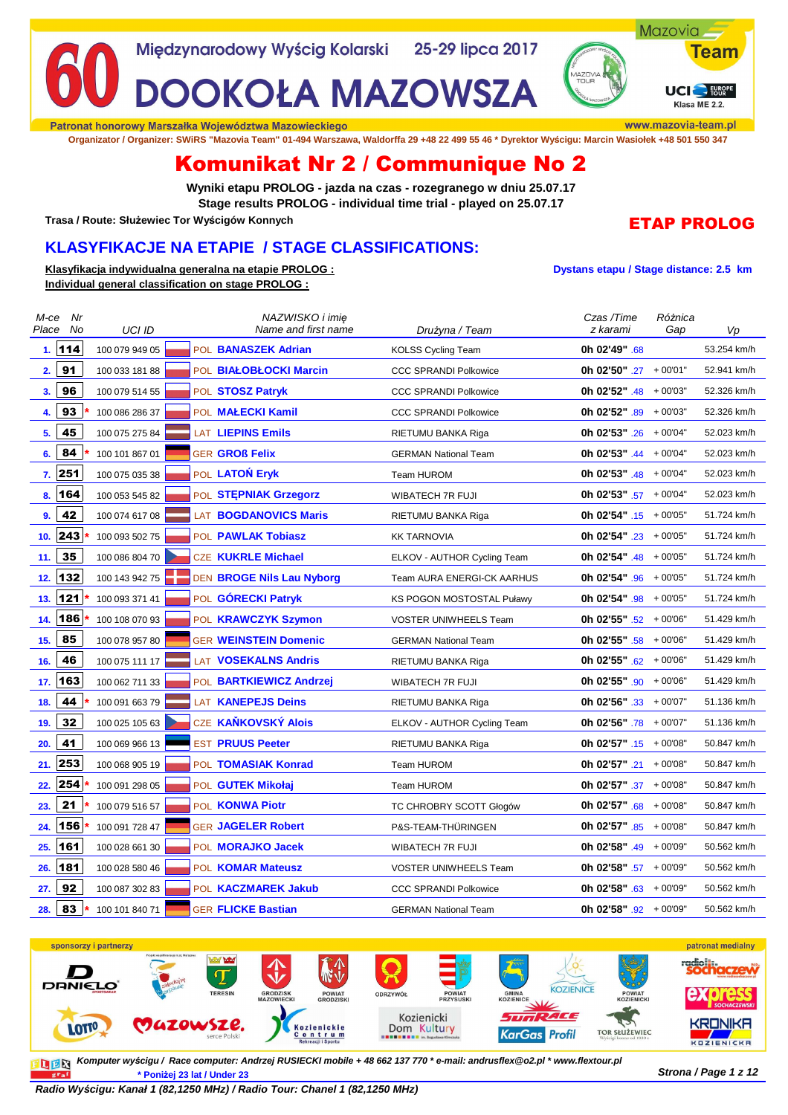

Patronat honorowy Marszałka Województwa Mazowieckiego

**Organizator / Organizer: SWiRS "Mazovia Team" 01-494 Warszawa, Waldorffa 29 +48 22 499 55 46 \* Dyrektor Wyścigu: Marcin Wasiołek +48 501 550 347**

# Komunikat Nr 2 / Communique No 2

**Wyniki etapu PROLOG - jazda na czas - rozegranego w dniu 25.07.17 Stage results PROLOG - individual time trial - played on 25.07.17**

**Trasa / Route: Służewiec Tor Wyścigów Konnych**

## **KLASYFIKACJE NA ETAPIE / STAGE CLASSIFICATIONS:**

**Klasyfikacja indywidualna generalna na etapie PROLOG : Dystans etapu / Stage distance: 2.5 km Individual general classification on stage PROLOG :**

## ETAP PROLOG

eam

| M-ce  | Nr      |                | NAZWISKO i imię              |                                  | Czas /Time                       | Różnica |             |
|-------|---------|----------------|------------------------------|----------------------------------|----------------------------------|---------|-------------|
| Place | No      | UCI ID         | Name and first name          | Drużyna / Team                   | z karami                         | Gap     | Vp          |
|       | 1.114   | 100 079 949 05 | POL BANASZEK Adrian          | <b>KOLSS Cycling Team</b>        | 0h 02'49" .68                    |         | 53.254 km/h |
| 2.    | 91      | 100 033 181 88 | POL BIAŁOBŁOCKI Marcin       | <b>CCC SPRANDI Polkowice</b>     | <b>0h 02'50"</b> .27 $+00'01"$   |         | 52.941 km/h |
| 3.    | 96      | 100 079 514 55 | POL STOSZ Patryk             | <b>CCC SPRANDI Polkowice</b>     | <b>0h 02'52"</b> $.48 + 00'03"$  |         | 52.326 km/h |
| 4.    | 93      | 100 086 286 37 | POL MALECKI Kamil            | <b>CCC SPRANDI Polkowice</b>     | <b>0h 02'52"</b> .89 $+00'03"$   |         | 52.326 km/h |
| 5.    | 45      | 100 075 275 84 | <b>LAT LIEPINS Emils</b>     | RIETUMU BANKA Riga               | <b>0h 02'53"</b> .26 + 00'04"    |         | 52.023 km/h |
| 6.    | 84      | 100 101 867 01 | <b>GER GROß Felix</b>        | <b>GERMAN National Team</b>      | Oh 02'53" $.44 + 00'04"$         |         | 52.023 km/h |
|       | 7.  251 | 100 075 035 38 | POL LATON Eryk               | Team HUROM                       | Oh 02'53" $.48$ + 00'04"         |         | 52.023 km/h |
| 8.    | 164     | 100 053 545 82 | POL STEPNIAK Grzegorz        | WIBATECH 7R FUJI                 | <b>0h 02'53"</b> .57 + 00'04"    |         | 52.023 km/h |
| 9.    | 42      | 100 074 617 08 | <b>LAT BOGDANOVICS Maris</b> | RIETUMU BANKA Riga               | <b>0h 02'54"</b> .15 + 00'05"    |         | 51.724 km/h |
| 10.   | 243     | 100 093 502 75 | POL PAWLAK Tobiasz           | <b>KK TARNOVIA</b>               | <b>0h 02'54"</b> .23 + 00'05"    |         | 51.724 km/h |
| 11.   | 35      | 100 086 804 70 | <b>CZE KUKRLE Michael</b>    | ELKOV - AUTHOR Cycling Team      | <b>0h 02'54"</b> .48 + 00'05"    |         | 51.724 km/h |
| 12.   | 132     | 100 143 942 75 | DEN BROGE Nils Lau Nyborg    | Team AURA ENERGI-CK AARHUS       | <b>0h 02'54"</b> .96 + 00'05"    |         | 51.724 km/h |
| 13.   | 121     | 100 093 371 41 | POL <b>GORECKI Patryk</b>    | <b>KS POGON MOSTOSTAL Puławy</b> | <b>0h 02'54"</b> .98 $+00'05"$   |         | 51.724 km/h |
| 14.   | 186     | 100 108 070 93 | POL KRAWCZYK Szymon          | VOSTER UNIWHEELS Team            | <b>0h 02'55"</b> .52 $+00'06''$  |         | 51.429 km/h |
| 15.   | 85      | 100 078 957 80 | <b>GER WEINSTEIN Domenic</b> | <b>GERMAN National Team</b>      | <b>0h 02'55"</b> .58 $+00'06"$   |         | 51.429 km/h |
| 16.   | 46      | 100 075 111 17 | LAT VOSEKALNS Andris         | RIETUMU BANKA Riga               | <b>0h 02'55"</b> $.62 + 00'06''$ |         | 51.429 km/h |
| 17.   | 163     | 100 062 711 33 | POL BARTKIEWICZ Andrzej      | WIBATECH 7R FUJI                 | <b>0h 02'55"</b> .90 $+00'06"$   |         | 51.429 km/h |
| 18.   | 44      | 100 091 663 79 | <b>LAT KANEPEJS Deins</b>    | RIETUMU BANKA Riga               | <b>0h 02'56"</b> .33 $+00'07"$   |         | 51.136 km/h |
| 19.   | 32      | 100 025 105 63 | CZE KANKOVSKÝ Alois          | ELKOV - AUTHOR Cycling Team      | <b>0h 02'56"</b> .78 $+00'07"$   |         | 51.136 km/h |
| 20.   | 41      | 100 069 966 13 | <b>EST PRUUS Peeter</b>      | RIETUMU BANKA Riga               | <b>0h 02'57"</b> $.15 + 00'08"$  |         | 50.847 km/h |
| 21.   | 253     | 100 068 905 19 | POL TOMASIAK Konrad          | Team HUROM                       | <b>0h 02'57"</b> .21 $+00'08"$   |         | 50.847 km/h |
| 22.   | 254     | 100 091 298 05 | POL GUTEK Mikołaj            | Team HUROM                       | <b>0h 02'57"</b> .37 + 00'08"    |         | 50.847 km/h |
| 23.   | 21      | 100 079 516 57 | POL <b>KONWA Piotr</b>       | TC CHROBRY SCOTT Głogów          | <b>0h 02'57"</b> .68 $+00'08"$   |         | 50.847 km/h |
| 24.   | 156     | 100 091 728 47 | <b>GER JAGELER Robert</b>    | P&S-TEAM-THÜRINGEN               | <b>0h 02'57"</b> $.85 + 00'08'$  |         | 50.847 km/h |
| 25.   | 161     | 100 028 661 30 | POL <b>MORAJKO Jacek</b>     | <b>WIBATECH 7R FUJI</b>          | <b>0h 02'58"</b> $.49 + 00'09"$  |         | 50.562 km/h |
| 26.   | 181     | 100 028 580 46 | POL KOMAR Mateusz            | <b>VOSTER UNIWHEELS Team</b>     | <b>0h 02'58"</b> .57 + 00'09"    |         | 50.562 km/h |
| 27.   | 92      | 100 087 302 83 | POL KACZMAREK Jakub          | <b>CCC SPRANDI Polkowice</b>     | <b>0h 02'58"</b> .63 $+00'09"$   |         | 50.562 km/h |
| 28.   | 83      | 100 101 840 71 | <b>GER FLICKE Bastian</b>    | <b>GERMAN National Team</b>      | <b>0h 02'58"</b> $.92 + 00'09'$  |         | 50.562 km/h |



**Komputer wy***ś***cigu / Race computer: Andrzej RUSIECKI mobile + 48 662 137 770 \* e-mail: andrusflex@o2.pl \* www.flextour.pl**DER **Strona / Page 1 z 12 \* Poniżej 23 lat / Under 23**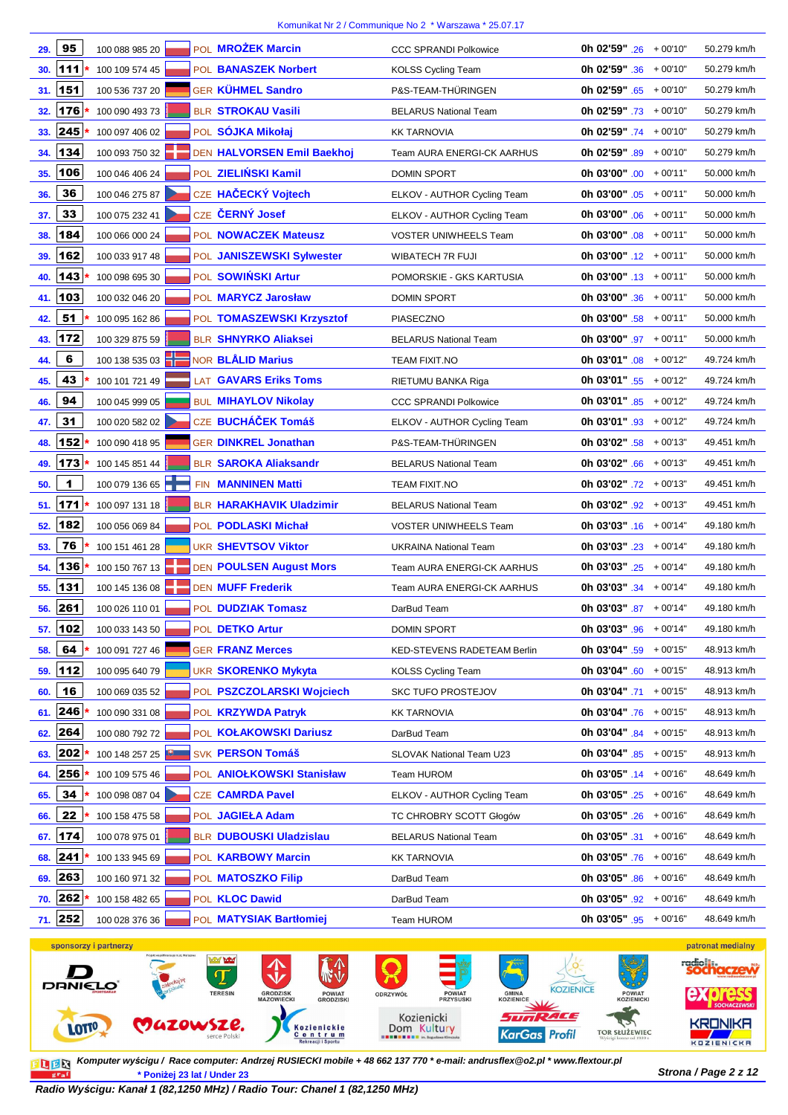| 29.     | 95  | 100 088 985 20        |  | POL MROŻEK Marcin               | <b>CCC SPRANDI Polkowice</b>    | <b>0h 02'59"</b> .26 $+00'10"$  | 50.279 km/h         |
|---------|-----|-----------------------|--|---------------------------------|---------------------------------|---------------------------------|---------------------|
| 30.     | 111 | 100 109 574 45        |  | POL BANASZEK Norbert            | <b>KOLSS Cycling Team</b>       | <b>0h 02'59"</b> .36 $+00'10"$  | 50.279 km/h         |
| 31.     | 151 | 100 536 737 20        |  | <b>GER KÜHMEL Sandro</b>        | P&S-TEAM-THÜRINGEN              | <b>0h 02'59"</b> .65 $+00'10"$  | 50.279 km/h         |
| 32.     | 176 | 100 090 493 73        |  | BLR STROKAU Vasili              | <b>BELARUS National Team</b>    | <b>0h 02'59"</b> .73 $+00'10"$  | 50.279 km/h         |
| 33.     | 245 | 100 097 406 02        |  | POL SÓJKA Mikołaj               | <b>KK TARNOVIA</b>              | <b>0h 02'59"</b> .74 $+00'10"$  | 50.279 km/h         |
| 34.     | 134 | 100 093 750 32        |  | DEN HALVORSEN Emil Baekhoj      | Team AURA ENERGI-CK AARHUS      | <b>0h 02'59"</b> .89 $+00'10"$  | 50.279 km/h         |
| 35.     | 106 | 100 046 406 24        |  | POL ZIELIŃSKI Kamil             | <b>DOMIN SPORT</b>              | <b>Oh 03'00"</b> .00 $+00'11"$  | 50.000 km/h         |
| 36.     | 36  | 100 046 275 87        |  | CZE HAČECKÝ Vojtech             | ELKOV - AUTHOR Cycling Team     | Oh 03'00" $.05 + 00'11"$        | 50.000 km/h         |
| 37.     | 33  | 100 075 232 41        |  | CZE ČERNÝ Josef                 | ELKOV - AUTHOR Cycling Team     | <b>0h 03'00"</b> .06 $+00'11"$  | 50.000 km/h         |
| 38.     | 184 | 100 066 000 24        |  | POL NOWACZEK Mateusz            | <b>VOSTER UNIWHEELS Team</b>    | Oh 03'00" $.08 + 00'11"$        | 50.000 km/h         |
| 39.     | 162 | 100 033 917 48        |  | POL JANISZEWSKI Sylwester       | WIBATECH 7R FUJI                | <b>0h 03'00"</b> .12 $+00'11"$  | 50.000 km/h         |
| 40.     | 143 | 100 098 695 30        |  | POL SOWIŃSKI Artur              | POMORSKIE - GKS KARTUSIA        | <b>0h 03'00"</b> .13 $+00'11"$  | 50.000 km/h         |
| 41.     | 103 | 100 032 046 20        |  | POL MARYCZ Jarosław             | <b>DOMIN SPORT</b>              | Oh 03'00" $.36 + 00'11"$        | 50.000 km/h         |
| 42.     | 51  | 100 095 162 86        |  | POL TOMASZEWSKI Krzysztof       | PIASECZNO                       | <b>0h 03'00"</b> .58 $+00'11"$  | 50.000 km/h         |
| 43.     | 172 | 100 329 875 59        |  | <b>BLR SHNYRKO Aliaksei</b>     | <b>BELARUS National Team</b>    | <b>0h 03'00"</b> .97 $+00'11"$  | 50.000 km/h         |
| 44.     | 6   | 100 138 535 03        |  | NOR <b>BLÅLID Marius</b>        | TEAM FIXIT.NO                   | <b>0h 03'01"</b> .08 $+00'12"$  | 49.724 km/h         |
| 45.     | 43  | 100 101 721 49        |  | <b>LAT GAVARS Eriks Toms</b>    | RIETUMU BANKA Riga              | <b>0h 03'01"</b> .55 $+00'12"$  | 49.724 km/h         |
| 46.     | 94  | 100 045 999 05        |  | <b>BUL MIHAYLOV Nikolay</b>     | <b>CCC SPRANDI Polkowice</b>    | <b>0h 03'01"</b> .85 $+00'12"$  | 49.724 km/h         |
| 47.     | 31  | 100 020 582 02        |  | CZE BUCHÁČEK Tomáš              | ELKOV - AUTHOR Cycling Team     | Oh 03'01" $.93 + 00'12"$        | 49.724 km/h         |
| 48.     | 152 | 100 090 418 95        |  | <b>GER DINKREL Jonathan</b>     | P&S-TEAM-THÜRINGEN              | <b>0h 03'02"</b> .58 $+00'13"$  | 49.451 km/h         |
| 49.     | 173 | 100 145 851 44        |  | <b>BLR SAROKA Aliaksandr</b>    | <b>BELARUS National Team</b>    | <b>0h 03'02"</b> .66 $+00'13"$  | 49.451 km/h         |
| 50.     | 1   | 100 079 136 65        |  | FIN <b>MANNINEN Matti</b>       | <b>TEAM FIXIT.NO</b>            | <b>0h 03'02"</b> .72 $+00'13"$  | 49.451 km/h         |
| 51.     | 171 | 100 097 131 18        |  | <b>BLR HARAKHAVIK Uladzimir</b> | <b>BELARUS National Team</b>    | <b>0h 03'02"</b> .92 + 00'13"   | 49.451 km/h         |
| 52.     | 182 | 100 056 069 84        |  | POL PODLASKI Michał             | <b>VOSTER UNIWHEELS Team</b>    | <b>0h 03'03"</b> .16 $+00'14"$  | 49.180 km/h         |
| 53.     | 76  | 100 151 461 28        |  | <b>UKR SHEVTSOV Viktor</b>      | <b>UKRAINA National Team</b>    | Oh 03'03" $.23 + 00'14"$        | 49.180 km/h         |
| 54.     | 136 | 100 150 767 13        |  | <b>DEN POULSEN August Mors</b>  | Team AURA ENERGI-CK AARHUS      | <b>0h 03'03"</b> .25 + 00'14"   | 49.180 km/h         |
| 55.     | 131 | 100 145 136 08        |  | <b>DEN MUFF Frederik</b>        | Team AURA ENERGI-CK AARHUS      | Oh 03'03" $.34 + 00'14"$        | 49.180 km/h         |
| 56.     | 261 | 100 026 110 01        |  | POL <b>DUDZIAK Tomasz</b>       | DarBud Team                     | 0h 03'03" $.87 + 00'14"$        | 49.180 km/h         |
| 57. 102 |     | 100 033 143 50        |  | POL DETKO Artur                 | <b>DOMIN SPORT</b>              | <b>0h 03'03"</b> .96 $+00'14"$  | 49.180 km/h         |
| 58.     | 64  | 100 091 727 46        |  | <b>GER FRANZ Merces</b>         | KED-STEVENS RADETEAM Berlin     | <b>0h 03'04"</b> .59 $+00'15"$  | 48.913 km/h         |
| 59.     | 112 | 100 095 640 79        |  | <b>UKR SKORENKO Mykyta</b>      | KOLSS Cycling Team              | <b>0h 03'04"</b> .60 $+00'15"$  | 48.913 km/h         |
| 60.     | 16  | 100 069 035 52        |  | POL PSZCZOLARSKI Wojciech       | <b>SKC TUFO PROSTEJOV</b>       | <b>0h 03'04"</b> .71 $+00'15"$  | 48.913 km/h         |
| 61.     | 246 | 100 090 331 08        |  | POL <b>KRZYWDA Patryk</b>       | <b>KK TARNOVIA</b>              | <b>0h 03'04"</b> .76 $+00'15"$  | 48.913 km/h         |
| 62.     | 264 | 100 080 792 72        |  | POL KOŁAKOWSKI Dariusz          | DarBud Team                     | <b>0h 03'04"</b> .84 $+00'15"$  | 48.913 km/h         |
| 63.     | 202 | 100 148 257 25        |  | SVK PERSON Tomáš                | <b>SLOVAK National Team U23</b> | <b>0h 03'04"</b> .85 $+00'15"$  | 48.913 km/h         |
| 64.     | 256 | 100 109 575 46        |  | POL ANIOLKOWSKI Stanisław       | Team HUROM                      | <b>0h 03'05"</b> .14 $+00'16"$  | 48.649 km/h         |
| 65.     | 34  | 100 098 087 04        |  | <b>CZE CAMRDA Pavel</b>         | ELKOV - AUTHOR Cycling Team     | <b>0h 03'05"</b> .25 $+00'16"$  | 48.649 km/h         |
| 66.     | 22  | 100 158 475 58        |  | POL JAGIEŁA Adam                | TC CHROBRY SCOTT Głogów         | <b>0h 03'05"</b> .26 $+00'16"$  | 48.649 km/h         |
| 67.     | 174 | 100 078 975 01        |  | <b>BLR DUBOUSKI Uladzislau</b>  | <b>BELARUS National Team</b>    | <b>0h 03'05"</b> .31 + 00'16"   | 48.649 km/h         |
| 68.     | 241 | 100 133 945 69        |  | POL KARBOWY Marcin              | <b>KK TARNOVIA</b>              | <b>0h 03'05"</b> .76 $+00'16"$  | 48.649 km/h         |
| 69.     | 263 | 100 160 971 32        |  | POL MATOSZKO Filip              | DarBud Team                     | Oh 03'05" $.86 + 00'16"$        | 48.649 km/h         |
| 70.     | 262 | 100 158 482 65        |  | POL <b>KLOC Dawid</b>           | DarBud Team                     | <b>0h 03'05"</b> .92 $+00'16"$  | 48.649 km/h         |
| 71. 252 |     | 100 028 376 36        |  | POL MATYSIAK Bartłomiej         | Team HUROM                      | <b>0h 03'05"</b> $.95 + 00'16"$ | 48.649 km/h         |
|         |     | sponsorzy i partnerzy |  |                                 |                                 |                                 | patronat medialny   |
|         | П   | $\sqrt{2}$            |  | $\mathbf{L}^{\wedge}$ 0<br>个    | 7 <sup>44</sup>                 |                                 | <b>radio Haczew</b> |



**Strona / Page 2 z 12 \* Poniżej 23 lat / Under 23 Komputer wy***ś***cigu / Race computer: Andrzej RUSIECKI mobile + 48 662 137 770 \* e-mail: andrusflex@o2.pl \* www.flextour.pl**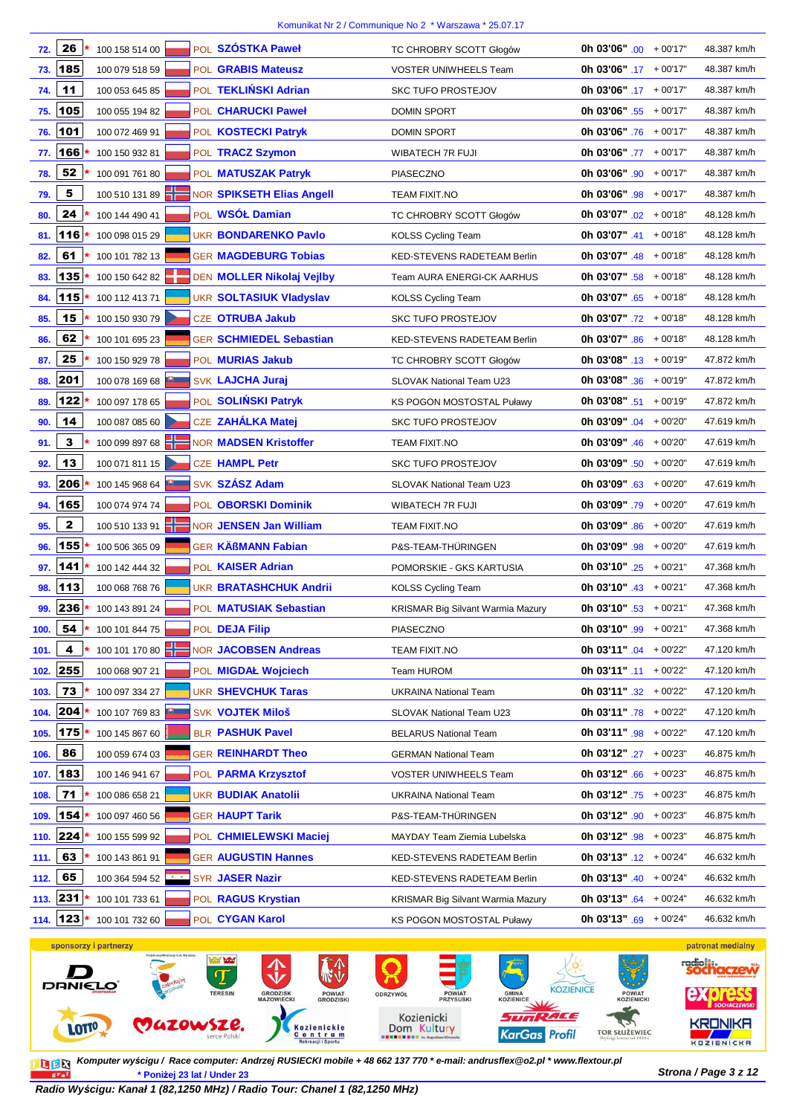| 72.  | 26           | 100 158 514 00     |  | POL SZÓSTKA Paweł                | TC CHROBRY SCOTT Głogów                  | <b>Oh 03'06"</b> .00 $+00'17"$  | 48.387 km/h |
|------|--------------|--------------------|--|----------------------------------|------------------------------------------|---------------------------------|-------------|
| 73.  | 185          | 100 079 518 59     |  | POL GRABIS Mateusz               | <b>VOSTER UNIWHEELS Team</b>             | Oh $03'06" .17 + 00'17"$        | 48.387 km/h |
| 74.  | 11           | 100 053 645 85     |  | POL TEKLIŃSKI Adrian             | <b>SKC TUFO PROSTEJOV</b>                | <b>0h 03'06"</b> .17 $+00'17"$  | 48.387 km/h |
| 75.  | 105          | 100 055 194 82     |  | POL CHARUCKI Paweł               | <b>DOMIN SPORT</b>                       | <b>0h 03'06"</b> .55 $+00'17"$  | 48.387 km/h |
| 76.  | 101          | 100 072 469 91     |  | POL KOSTECKI Patryk              | <b>DOMIN SPORT</b>                       | <b>0h 03'06"</b> .76 $+00'17"$  | 48.387 km/h |
| 77.  | 166          | 100 150 932 81     |  | POL TRACZ Szymon                 | <b>WIBATECH 7R FUJI</b>                  | <b>0h 03'06"</b> .77 $+00'17"$  | 48.387 km/h |
| 78.  | 52           | 100 091 761 80     |  | POL MATUSZAK Patryk              | <b>PIASECZNO</b>                         | Oh 03'06" $.90 + 00'17"$        | 48.387 km/h |
| 79.  | 5            | 100 510 131 89     |  | <b>NOR SPIKSETH Elias Angell</b> | <b>TEAM FIXIT.NO</b>                     | <b>0h 03'06"</b> .98 $+00'17"$  | 48.387 km/h |
| 80.  | 24           | 100 144 490 41     |  | POL WSÓŁ Damian                  | TC CHROBRY SCOTT Głogów                  | <b>0h 03'07"</b> .02 $+00'18"$  | 48.128 km/h |
| 81.  | 116          | 100 098 015 29     |  | <b>UKR BONDARENKO Pavlo</b>      | <b>KOLSS Cycling Team</b>                | <b>0h 03'07"</b> $.41 + 00'18"$ | 48.128 km/h |
| 82.  | 61           | 100 101 782 13     |  | <b>GER MAGDEBURG Tobias</b>      | KED-STEVENS RADETEAM Berlin              | <b>0h 03'07"</b> .48 $+00'18"$  | 48.128 km/h |
| 83.  | 135          | 100 150 642 82     |  | DEN MOLLER Nikolaj Vejlby        | Team AURA ENERGI-CK AARHUS               | <b>0h 03'07"</b> .58 $+00'18"$  | 48.128 km/h |
| 84.  | 115          | 100 112 413 71     |  | <b>UKR SOLTASIUK Vladyslav</b>   | <b>KOLSS Cycling Team</b>                | <b>0h 03'07"</b> .65 $+00'18"$  | 48.128 km/h |
| 85.  | 15           | 100 150 930 79     |  | CZE OTRUBA Jakub                 | <b>SKC TUFO PROSTEJOV</b>                | <b>0h 03'07"</b> .72 $+00'18"$  | 48.128 km/h |
| 86.  | 62           | 100 101 695 23     |  | <b>GER SCHMIEDEL Sebastian</b>   | KED-STEVENS RADETEAM Berlin              | <b>0h 03'07"</b> .86 + 00'18"   | 48.128 km/h |
| 87.  | 25           | 100 150 929 78     |  | POL <b>MURIAS Jakub</b>          | TC CHROBRY SCOTT Głogów                  | <b>0h 03'08"</b> .13 $+00'19"$  | 47.872 km/h |
| 88.  | 201          | 100 078 169 68     |  | <b>SVK LAJCHA Juraj</b>          | <b>SLOVAK National Team U23</b>          | <b>0h 03'08"</b> .36 + 00'19"   | 47.872 km/h |
| 89.  | 122          | 100 097 178 65     |  | POL SOLIŃSKI Patryk              | <b>KS POGON MOSTOSTAL Puławy</b>         | <b>0h 03'08"</b> .51 + 00'19"   | 47.872 km/h |
| 90.  | 14           | 100 087 085 60     |  | CZE ZAHÁLKA Matej                | <b>SKC TUFO PROSTEJOV</b>                | <b>0h 03'09"</b> .04 $+00'20"$  | 47.619 km/h |
| 91.  | 3            | 100 099 897 68     |  | <b>NOR MADSEN Kristoffer</b>     | <b>TEAM FIXIT.NO</b>                     | <b>0h 03'09"</b> $.46 + 00'20"$ | 47.619 km/h |
| 92.  | 13           | 100 071 811 15     |  | <b>CZE HAMPL Petr</b>            | <b>SKC TUFO PROSTEJOV</b>                | <b>0h 03'09"</b> .50 $+00'20"$  | 47.619 km/h |
| 93.  | 206          | 100 145 968 64     |  | SVK SZÁSZ Adam                   | <b>SLOVAK National Team U23</b>          | <b>0h 03'09"</b> .63 $+00'20"$  | 47.619 km/h |
| 94.  | 165          | 100 074 974 74     |  | POL OBORSKI Dominik              | <b>WIBATECH 7R FUJI</b>                  | <b>0h 03'09"</b> .79 $+00'20"$  | 47.619 km/h |
| 95.  | $\mathbf{2}$ | 100 510 133 91     |  | NOR JENSEN Jan William           | TEAM FIXIT.NO                            | <b>0h 03'09"</b> .86 $+00'20"$  | 47.619 km/h |
| 96.  | 155          | 100 506 365 09     |  | <b>GER KÄßMANN Fabian</b>        | P&S-TEAM-THÜRINGEN                       | <b>0h 03'09"</b> .98 $+00'20"$  | 47.619 km/h |
| 97.  | 141          | 100 142 444 32     |  | POL KAISER Adrian                | POMORSKIE - GKS KARTUSIA                 | <b>0h 03'10"</b> .25 $+00'21"$  | 47.368 km/h |
| 98.  | 113          | 100 068 768 76     |  | UKR <b>BRATASHCHUK Andrii</b>    | <b>KOLSS Cycling Team</b>                | 0h 03'10" $.43 + 00'21$ "       | 47.368 km/h |
|      | 99. 236 *    | 100 143 891 24     |  | POL <b>MATUSIAK Sebastian</b>    | <b>KRISMAR Big Silvant Warmia Mazury</b> | <b>0h 03'10"</b> .53 $+00'21"$  | 47.368 km/h |
| 100. | $54$ *       | 100 101 844 75     |  | POL DEJA Filip                   | PIASECZNO                                | Oh 03'10" $.99 + 00'21"$        | 47.368 km/h |
| 101. | 4            | 100 101 170 80     |  | <b>NOR JACOBSEN Andreas</b>      | TEAM FIXIT.NO                            | <b>0h 03'11"</b> .04 $+00'22"$  | 47.120 km/h |
| 102. | 255          | 100 068 907 21     |  | POL MIGDAŁ Wojciech              | <b>Team HUROM</b>                        | <b>0h 03'11"</b> .11 $+00'22"$  | 47.120 km/h |
| 103. | 73           | 100 097 334 27     |  | <b>UKR SHEVCHUK Taras</b>        | <b>UKRAINA National Team</b>             | <b>0h 03'11"</b> .32 $+00'22"$  | 47.120 km/h |
| 104. | 204          | 100 107 769 83     |  | <b>SVK VOJTEK Miloš</b>          | SLOVAK National Team U23                 | <b>0h 03'11"</b> .78 $+00'22"$  | 47.120 km/h |
| 105. | 175          | 100 145 867 60     |  | <b>BLR PASHUK Pavel</b>          | <b>BELARUS National Team</b>             | 0h 03'11" .98 + 00'22"          | 47.120 km/h |
| 106. | 86           | 100 059 674 03     |  | <b>GER REINHARDT Theo</b>        | <b>GERMAN National Team</b>              | Oh 03'12" $.27 + 00'23"$        | 46.875 km/h |
| 107. | 183          | 100 146 941 67     |  | POL PARMA Krzysztof              | <b>VOSTER UNIWHEELS Team</b>             | <b>0h 03'12"</b> .66 $+00'23"$  | 46.875 km/h |
| 108. | 71           | 100 086 658 21     |  | <b>UKR BUDIAK Anatolii</b>       | <b>UKRAINA National Team</b>             | <b>0h 03'12"</b> .75 $+00'23"$  | 46.875 km/h |
| 109. | 154          | 100 097 460 56     |  | <b>GER HAUPT Tarik</b>           | P&S-TEAM-THÜRINGEN                       | <b>0h 03'12"</b> .90 + 00'23"   | 46.875 km/h |
| 110. | 224          | 100 155 599 92     |  | POL CHMIELEWSKI Maciej           | MAYDAY Team Ziemia Lubelska              | <b>0h 03'12"</b> $.98 + 00'23"$ | 46.875 km/h |
| 111. | 63           | 100 143 861 91     |  | <b>GER AUGUSTIN Hannes</b>       | KED-STEVENS RADETEAM Berlin              | <b>0h 03'13"</b> .12 $+00'24"$  | 46.632 km/h |
| 112. | 65           | 100 364 594 52 * * |  | SYR JASER Nazir                  | KED-STEVENS RADETEAM Berlin              | <b>0h 03'13"</b> $.40 + 00'24"$ | 46.632 km/h |
|      | 113. 231     | 100 101 733 61     |  | POL RAGUS Krystian               | <b>KRISMAR Big Silvant Warmia Mazury</b> | <b>0h 03'13"</b> .64 $+00'24"$  | 46.632 km/h |
| 114. | 123          | 100 101 732 60     |  | POL CYGAN Karol                  | KS POGON MOSTOSTAL Puławy                | <b>0h 03'13"</b> .69 $+00'24"$  | 46.632 km/h |

sponsorzy i partnerzy patronat medialny  $\left\langle \phi \right\rangle$ radio  $\overline{\mathbb{T}}$ **DANIEL** Ω KOZIENICE ODRZYWÓŁ Kozienicki SunRACE EDWSZE.  $\rightarrow$ **KRONIKA** LOTIO, Kozienickie<br>Centrum<br>Rekreacji i Sportu Dom Kultury TOR SŁUŻEWIEC KarGas Profil KOZIENICKA

**Strona / Page 3 z 12 \* Poniżej 23 lat / Under 23 Komputer wy***ś***cigu / Race computer: Andrzej RUSIECKI mobile + 48 662 137 770 \* e-mail: andrusflex@o2.pl \* www.flextour.pl**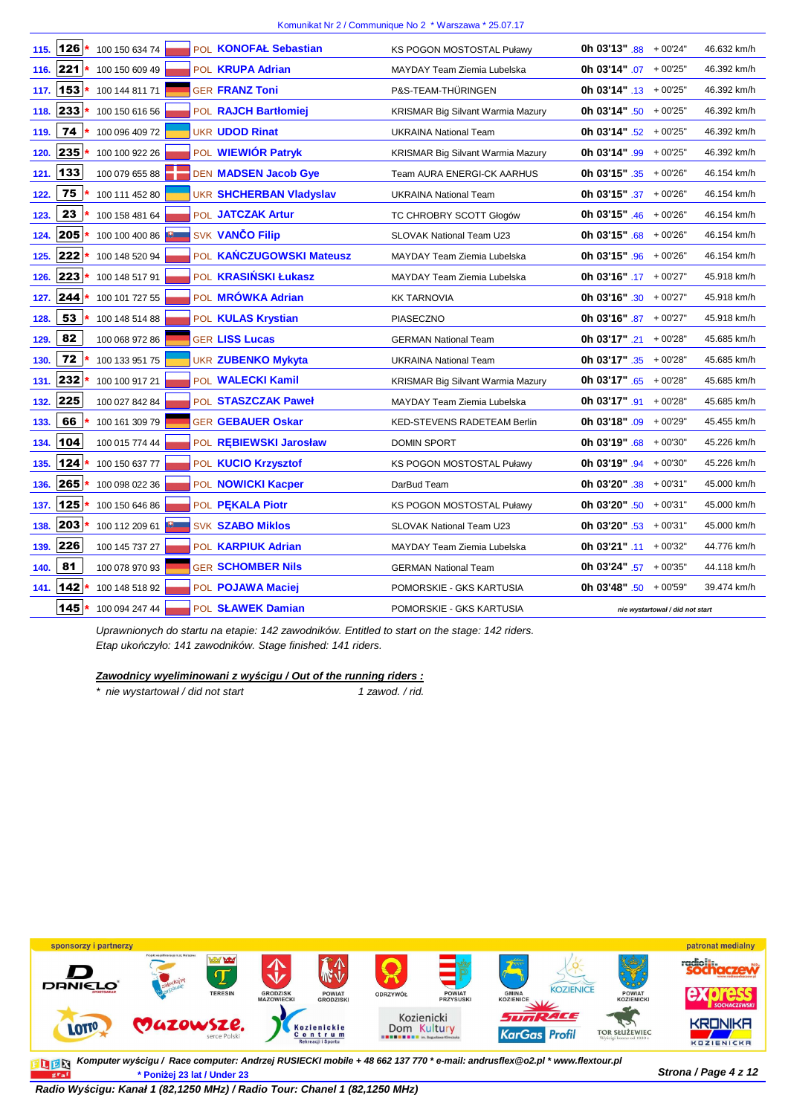|      | 145      | 100 094 247 44 |  | POL SŁAWEK Damian              | POMORSKIE - GKS KARTUSIA           | nie wystartował / did not start |             |
|------|----------|----------------|--|--------------------------------|------------------------------------|---------------------------------|-------------|
|      | 141. 142 | 100 148 518 92 |  | POL POJAWA Maciej              | POMORSKIE - GKS KARTUSIA           | <b>0h 03'48"</b> .50 $+00'59"$  | 39.474 km/h |
| 140. | 81       | 100 078 970 93 |  | <b>GER SCHOMBER Nils</b>       | <b>GERMAN National Team</b>        | <b>0h 03'24"</b> .57 $+00'35"$  | 44.118 km/h |
| 139. | 226      | 100 145 737 27 |  | POL KARPIUK Adrian             | MAYDAY Team Ziemia Lubelska        | 0h 03'21" $.11 + 00'32"$        | 44.776 km/h |
| 138. | 203      | 100 112 209 61 |  | <b>SVK SZABO Miklos</b>        | <b>SLOVAK National Team U23</b>    | <b>0h 03'20"</b> .53 $+00'31"$  | 45.000 km/h |
| 137. | 125      | 100 150 646 86 |  | POL PEKALA Piotr               | <b>KS POGON MOSTOSTAL Puławy</b>   | <b>0h 03'20"</b> .50 $+00'31"$  | 45.000 km/h |
| 136. | 265      | 100 098 022 36 |  | POL NOWICKI Kacper             | DarBud Team                        | <b>0h 03'20"</b> .38 $+00'31"$  | 45.000 km/h |
| 135. | 124      | 100 150 637 77 |  | POL KUCIO Krzysztof            | KS POGON MOSTOSTAL Puławy          | <b>0h 03'19"</b> .94 $+00'30"$  | 45.226 km/h |
| 134. | 104      | 100 015 774 44 |  | POL REBIEWSKI Jarosław         | <b>DOMIN SPORT</b>                 | <b>0h 03'19"</b> .68 $+00'30"$  | 45.226 km/h |
| 133. | 66       | 100 161 309 79 |  | <b>GER GEBAUER Oskar</b>       | <b>KED-STEVENS RADETEAM Berlin</b> | Oh 03'18" $.09 + 00'29$ "       | 45.455 km/h |
| 132. | 225      | 100 027 842 84 |  | POL STASZCZAK Paweł            | MAYDAY Team Ziemia Lubelska        | <b>0h 03'17"</b> .91 $+00'28"$  | 45.685 km/h |
| 131. | 232      | 100 100 917 21 |  | POL WALECKI Kamil              | KRISMAR Big Silvant Warmia Mazury  | <b>0h 03'17"</b> $.65 + 00'28"$ | 45.685 km/h |
| 130. | 72       | 100 133 951 75 |  | <b>UKR ZUBENKO Mykyta</b>      | <b>UKRAINA National Team</b>       | <b>0h 03'17"</b> .35 $+00'28"$  | 45.685 km/h |
| 129. | 82       | 100 068 972 86 |  | <b>GER LISS Lucas</b>          | <b>GERMAN National Team</b>        | <b>0h 03'17"</b> .21 $+00'28"$  | 45.685 km/h |
| 128. | 53       | 100 148 514 88 |  | POL KULAS Krystian             | <b>PIASECZNO</b>                   | Oh 03'16" $.87 + 00'27"$        | 45.918 km/h |
| 127. | 244      | 100 101 727 55 |  | POL MRÓWKA Adrian              | <b>KK TARNOVIA</b>                 | 0h 03'16" $.30 + 00'27$ "       | 45.918 km/h |
|      | 126. 223 | 100 148 517 91 |  | POL <b>KRASIŃSKI Łukasz</b>    | <b>MAYDAY Team Ziemia Lubelska</b> | 0h 03'16" $.17 + 00'27$ "       | 45.918 km/h |
| 125. | 222      | 100 148 520 94 |  | POL KAŃCZUGOWSKI Mateusz       | MAYDAY Team Ziemia Lubelska        | <b>0h 03'15"</b> .96 $+00'26"$  | 46.154 km/h |
| 124. | 205      | 100 100 400 86 |  | SVK VANČO Filip                | <b>SLOVAK National Team U23</b>    | <b>0h 03'15"</b> .68 $+00'26"$  | 46.154 km/h |
| 123. | 23       | 100 158 481 64 |  | POL JATCZAK Artur              | TC CHROBRY SCOTT Głogów            | Oh 03'15" $.46 + 00'26"$        | 46.154 km/h |
| 122. | 75       | 100 111 452 80 |  | <b>UKR SHCHERBAN Vladyslav</b> | <b>UKRAINA National Team</b>       | 0h 03'15" $.37 + 00'26$ "       | 46.154 km/h |
| 121. | 133      | 100 079 655 88 |  | DEN MADSEN Jacob Gye           | <b>Team AURA ENERGI-CK AARHUS</b>  | <b>0h 03'15"</b> .35 $+00'26"$  | 46.154 km/h |
| 120. | 235      | 100 100 922 26 |  | POL WIEWIÓR Patryk             | KRISMAR Big Silvant Warmia Mazury  | Oh 03'14" $.99 + 00'25$ "       | 46.392 km/h |
| 119. | 74       | 100 096 409 72 |  | <b>UKR UDOD Rinat</b>          | <b>UKRAINA National Team</b>       | Oh 03'14" $.52 + 00'25$ "       | 46.392 km/h |
| 118. | 233      | 100 150 616 56 |  | POL RAJCH Bartłomiej           | KRISMAR Big Silvant Warmia Mazury  | <b>0h 03'14"</b> .50 $+00'25"$  | 46.392 km/h |
| 117. | 153      | 100 144 811 71 |  | <b>GER FRANZ Toni</b>          | P&S-TEAM-THÜRINGEN                 | <b>0h 03'14"</b> .13 $+00'25"$  | 46.392 km/h |
|      | 116. 221 | 100 150 609 49 |  | POL <b>KRUPA Adrian</b>        | <b>MAYDAY Team Ziemia Lubelska</b> | <b>0h 03'14"</b> .07 + 00'25"   | 46.392 km/h |
| 115. | 126      | 100 150 634 74 |  | POL KONOFAŁ Sebastian          | <b>KS POGON MOSTOSTAL Puławy</b>   | 0h 03'13" $.88 + 00'24"$        | 46.632 km/h |

Uprawnionych do startu na etapie: 142 zawodników. Entitled to start on the stage: 142 riders. Etap uko*ń*czyło: 141 zawodników. Stage finished: 141 riders.

**Zawodnicy wyeliminowani z wy***ś***cigu / Out of the running riders :**

\* nie wystartował / did not start 1 zawod. / rid.



**Strona / Page 4 z 12 \* Poniżej 23 lat / Under 23 Komputer wyścigu / Race computer: Andrzej RUSIECKI mobile + 48 662 137 770 \* e-mail: andrusflex@o2.pl \* www.flextour.pl** 

 $\frac{1}{g(x_0)}$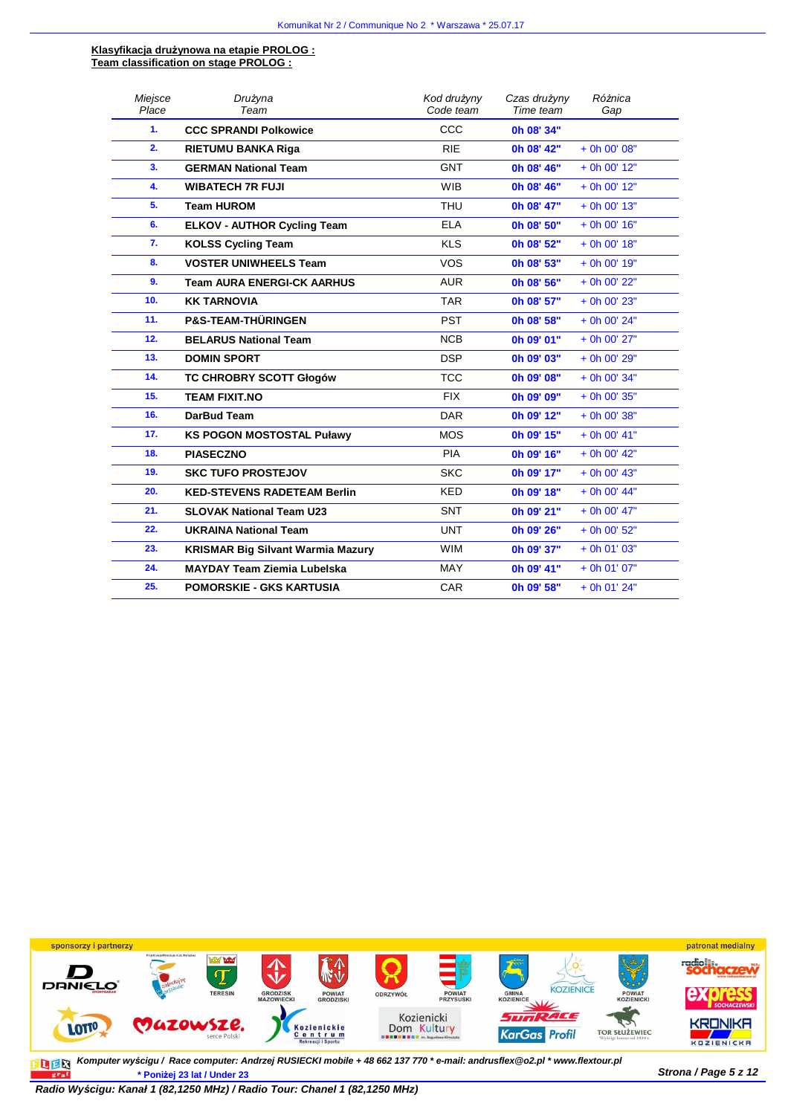#### **Klasyfikacja drużynowa na etapie PROLOG : Team classification on stage PROLOG :**

| Miejsce | Drużyna                                  | Kod drużyny | Czas drużyny | Różnica        |
|---------|------------------------------------------|-------------|--------------|----------------|
| Place   | Team                                     | Code team   | Time team    | Gap            |
| 1.      | <b>CCC SPRANDI Polkowice</b>             | CCC         | 0h 08' 34"   |                |
| 2.      | <b>RIETUMU BANKA Riga</b>                | <b>RIE</b>  | 0h 08' 42"   | $+$ 0h 00' 08" |
| 3.      | <b>GERMAN National Team</b>              | <b>GNT</b>  | 0h 08' 46"   | $+$ 0h 00' 12" |
| 4.      | <b>WIBATECH 7R FUJI</b>                  | <b>WIB</b>  | 0h 08' 46"   | $+$ 0h 00' 12" |
| 5.      | <b>Team HUROM</b>                        | <b>THU</b>  | 0h 08' 47"   | $+$ 0h 00' 13" |
| 6.      | <b>ELKOV - AUTHOR Cycling Team</b>       | <b>ELA</b>  | 0h 08' 50"   | $+$ 0h 00' 16" |
| 7.      | <b>KOLSS Cycling Team</b>                | <b>KLS</b>  | 0h 08' 52"   | $+$ 0h 00' 18" |
| 8.      | <b>VOSTER UNIWHEELS Team</b>             | <b>VOS</b>  | 0h 08' 53"   | $+$ 0h 00' 19" |
| 9.      | <b>Team AURA ENERGI-CK AARHUS</b>        | <b>AUR</b>  | 0h 08' 56"   | + 0h 00' 22"   |
| 10.     | <b>KK TARNOVIA</b>                       | <b>TAR</b>  | 0h 08' 57"   | + 0h 00' 23"   |
| 11.     | <b>P&amp;S-TEAM-THÜRINGEN</b>            | <b>PST</b>  | 0h 08' 58"   | $+$ 0h 00' 24" |
| 12.     | <b>BELARUS National Team</b>             | <b>NCB</b>  | 0h 09' 01"   | + 0h 00' 27"   |
| 13.     | <b>DOMIN SPORT</b>                       | <b>DSP</b>  | Oh 09' 03"   | + 0h 00' 29"   |
| 14.     | <b>TC CHROBRY SCOTT Głogów</b>           | <b>TCC</b>  | 0h 09' 08"   | $+$ 0h 00' 34" |
| 15.     | <b>TEAM FIXIT.NO</b>                     | <b>FIX</b>  | 0h 09' 09"   | + 0h 00' 35"   |
| 16.     | DarBud Team                              | <b>DAR</b>  | 0h 09' 12"   | + 0h 00' 38"   |
| 17.     | <b>KS POGON MOSTOSTAL Puławy</b>         | <b>MOS</b>  | 0h 09' 15"   | $+$ 0h 00' 41" |
| 18.     | <b>PIASECZNO</b>                         | <b>PIA</b>  | 0h 09' 16"   | $+$ 0h 00' 42" |
| 19.     | <b>SKC TUFO PROSTEJOV</b>                | <b>SKC</b>  | 0h 09' 17"   | $+$ 0h 00' 43" |
| 20.     | <b>KED-STEVENS RADETEAM Berlin</b>       | <b>KED</b>  | 0h 09' 18"   | $+$ 0h 00' 44" |
| 21.     | <b>SLOVAK National Team U23</b>          | <b>SNT</b>  | 0h 09' 21"   | + 0h 00' 47"   |
| 22.     | <b>UKRAINA National Team</b>             | <b>UNT</b>  | 0h 09' 26"   | + 0h 00' 52"   |
| 23.     | <b>KRISMAR Big Silvant Warmia Mazury</b> | <b>WIM</b>  | 0h 09' 37"   | $+$ 0h 01' 03" |
| 24.     | <b>MAYDAY Team Ziemia Lubelska</b>       | <b>MAY</b>  | 0h 09' 41"   | $+$ 0h 01' 07" |
| 25.     | <b>POMORSKIE - GKS KARTUSIA</b>          | CAR         | 0h 09' 58"   | $+$ 0h 01' 24" |



**Strona / Page 5 z 12 \* Poniżej 23 lat / Under 23 Komputer wy***ś***cigu / Race computer: Andrzej RUSIECKI mobile + 48 662 137 770 \* e-mail: andrusflex@o2.pl \* www.flextour.pl**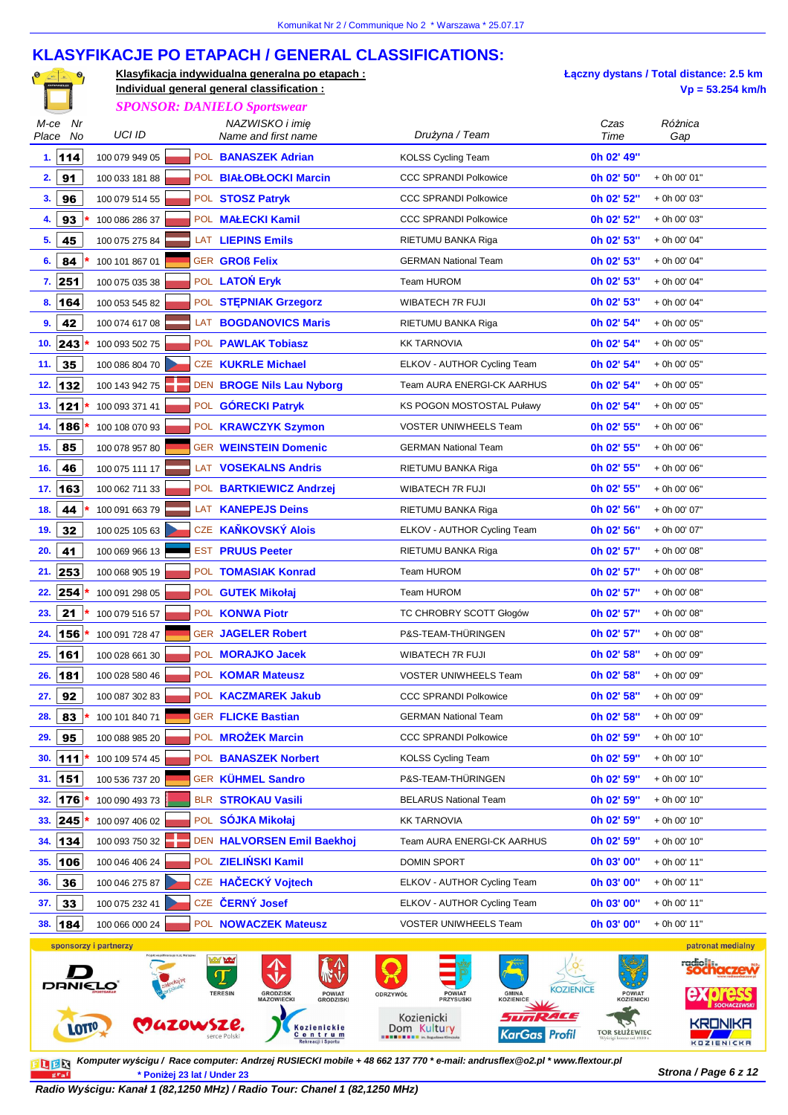## **KLASYFIKACJE PO ETAPACH / GENERAL CLASSIFICATIONS:**

| $\bullet$ | Klasyfikacia indywidualna generalna po etapach: |
|-----------|-------------------------------------------------|
|           | Individual general general classification :     |
|           |                                                 |

**Łączny dystans / Total distance: 2.5 km Individual general general classification : Vp = 53.254 km/h**

|                           |                                    |  | <b>SPONSOR: DANIELO Sportswear</b>                                                                                                                  |                                                                                                                                                                    |                                                            |                                                   |
|---------------------------|------------------------------------|--|-----------------------------------------------------------------------------------------------------------------------------------------------------|--------------------------------------------------------------------------------------------------------------------------------------------------------------------|------------------------------------------------------------|---------------------------------------------------|
| M-ce<br>Nr<br>No<br>Place | UCI ID                             |  | NAZWISKO i imię<br>Name and first name                                                                                                              | Drużyna / Team                                                                                                                                                     | Czas<br>Time                                               | Różnica<br>Gap                                    |
| 1.114                     | 100 079 949 05                     |  | POL BANASZEK Adrian                                                                                                                                 | <b>KOLSS Cycling Team</b>                                                                                                                                          | 0h 02' 49"                                                 |                                                   |
| 91<br>2.                  | 100 033 181 88                     |  | POL BIAŁOBŁOCKI Marcin                                                                                                                              | CCC SPRANDI Polkowice                                                                                                                                              | 0h 02' 50"                                                 | + 0h 00' 01"                                      |
| 3.<br>96                  | 100 079 514 55                     |  | POL STOSZ Patryk                                                                                                                                    | <b>CCC SPRANDI Polkowice</b>                                                                                                                                       | 0h 02' 52"                                                 | + 0h 00' 03"                                      |
| 93<br>4.                  | 100 086 286 37                     |  | POL MALECKI Kamil                                                                                                                                   | <b>CCC SPRANDI Polkowice</b>                                                                                                                                       | 0h 02' 52"                                                 | + 0h 00' 03"                                      |
| 5.<br>45                  | 100 075 275 84                     |  | LAT LIEPINS Emils                                                                                                                                   | RIETUMU BANKA Riga                                                                                                                                                 | 0h 02' 53"                                                 | + 0h 00' 04"                                      |
| 6.<br>84                  | 100 101 867 01                     |  | <b>GER GROß Felix</b>                                                                                                                               | <b>GERMAN National Team</b>                                                                                                                                        | 0h 02' 53"                                                 | + 0h 00' 04"                                      |
| 7.251                     | 100 075 035 38                     |  | POL LATON Eryk                                                                                                                                      | Team HUROM                                                                                                                                                         | 0h 02' 53"                                                 | + 0h 00' 04"                                      |
| 164<br>8.                 | 100 053 545 82                     |  | POL STEPNIAK Grzegorz                                                                                                                               | WIBATECH 7R FUJI                                                                                                                                                   | 0h 02' 53"                                                 | + 0h 00' 04"                                      |
| 9.<br>42                  | 100 074 617 08                     |  | LAT BOGDANOVICS Maris                                                                                                                               | RIETUMU BANKA Riga                                                                                                                                                 | 0h 02' 54"                                                 | + 0h 00' 05"                                      |
| 243<br>10.                | 100 093 502 75                     |  | POL PAWLAK Tobiasz                                                                                                                                  | <b>KK TARNOVIA</b>                                                                                                                                                 | 0h 02' 54"                                                 | + 0h 00' 05"                                      |
| 35<br>11.                 | 100 086 804 70                     |  | CZE KUKRLE Michael                                                                                                                                  | ELKOV - AUTHOR Cycling Team                                                                                                                                        | 0h 02' 54"                                                 | + 0h 00' 05"                                      |
| 132<br>12.                | 100 143 942 75                     |  | DEN BROGE Nils Lau Nyborg                                                                                                                           | Team AURA ENERGI-CK AARHUS                                                                                                                                         | 0h 02' 54"                                                 | + 0h 00' 05"                                      |
| $121$<br>13.              | 100 093 371 41                     |  | POL GÓRECKI Patryk                                                                                                                                  | <b>KS POGON MOSTOSTAL Puławy</b>                                                                                                                                   | 0h 02' 54"                                                 | + 0h 00' 05"                                      |
| 186<br>14.                | 100 108 070 93                     |  | POL KRAWCZYK Szymon                                                                                                                                 | <b>VOSTER UNIWHEELS Team</b>                                                                                                                                       | 0h 02' 55"                                                 | + 0h 00' 06"                                      |
| 85<br>15.                 | 100 078 957 80                     |  | <b>GER WEINSTEIN Domenic</b>                                                                                                                        | <b>GERMAN National Team</b>                                                                                                                                        | 0h 02' 55"                                                 | + 0h 00' 06"                                      |
| 46<br>16.                 | 100 075 111 17                     |  | LAT VOSEKALNS Andris                                                                                                                                | RIETUMU BANKA Riga                                                                                                                                                 | 0h 02' 55"                                                 | + 0h 00' 06"                                      |
| 17.<br>163                | 100 062 711 33                     |  | POL <b>BARTKIEWICZ Andrzej</b>                                                                                                                      | WIBATECH 7R FUJI                                                                                                                                                   | 0h 02' 55"                                                 | + 0h 00' 06"                                      |
| 18.<br>44                 | 100 091 663 79                     |  | LAT KANEPEJS Deins                                                                                                                                  | RIETUMU BANKA Riga                                                                                                                                                 | 0h 02' 56"                                                 | + 0h 00' 07"                                      |
| 32<br>19.                 | 100 025 105 63                     |  | CZE KAŇKOVSKÝ Alois                                                                                                                                 | ELKOV - AUTHOR Cycling Team                                                                                                                                        | 0h 02' 56"                                                 | + 0h 00' 07"                                      |
| 41<br>20.                 | 100 069 966 13                     |  | <b>EST PRUUS Peeter</b>                                                                                                                             | RIETUMU BANKA Riga                                                                                                                                                 | 0h 02' 57"                                                 | + 0h 00' 08"                                      |
| 21.<br>253                | 100 068 905 19                     |  | POL TOMASIAK Konrad                                                                                                                                 | Team HUROM                                                                                                                                                         | 0h 02' 57"                                                 | + 0h 00' 08"                                      |
| 254<br>22.                | 100 091 298 05                     |  | POL GUTEK Mikołaj                                                                                                                                   | Team HUROM                                                                                                                                                         | 0h 02' 57"                                                 | + 0h 00' 08"                                      |
| 21<br>23.                 | 100 079 516 57                     |  | POL KONWA Piotr                                                                                                                                     | TC CHROBRY SCOTT Głogów                                                                                                                                            | 0h 02' 57"                                                 | + 0h 00' 08"                                      |
| 156<br>24.                | 100 091 728 47                     |  | <b>GER JAGELER Robert</b>                                                                                                                           | P&S-TEAM-THÜRINGEN                                                                                                                                                 | 0h 02' 57"                                                 | + 0h 00' 08"                                      |
| 25.<br>161                | 100 028 661 30                     |  | POL MORAJKO Jacek                                                                                                                                   | WIBATECH 7R FUJI                                                                                                                                                   | 0h 02' 58"                                                 | + 0h 00' 09"                                      |
| 181<br>26.                | 100 028 580 46                     |  | POL KOMAR Mateusz                                                                                                                                   | <b>VOSTER UNIWHEELS Team</b>                                                                                                                                       | 0h 02' 58"                                                 | + 0h 00' 09"                                      |
| 27.<br>92                 | 100 087 302 83                     |  | POL KACZMAREK Jakub                                                                                                                                 | <b>CCC SPRANDI Polkowice</b>                                                                                                                                       | $0h\ 02'\ 58"$                                             | + 0h 00' 09"                                      |
| 83<br>28.                 | 100 101 840 71                     |  | <b>GER FLICKE Bastian</b>                                                                                                                           | <b>GERMAN National Team</b>                                                                                                                                        | 0h 02' 58"                                                 | + 0h 00' 09"                                      |
| 29.<br>95                 | 100 088 985 20                     |  | POL <b>MROŻEK Marcin</b>                                                                                                                            | <b>CCC SPRANDI Polkowice</b>                                                                                                                                       | 0h 02' 59"                                                 | + 0h 00' 10"                                      |
| 111<br>30.                | 100 109 574 45                     |  | POL BANASZEK Norbert                                                                                                                                | <b>KOLSS Cycling Team</b>                                                                                                                                          | 0h 02' 59"                                                 | + 0h 00' 10"                                      |
| 151<br>31.                | 100 536 737 20                     |  | GER KÜHMEL Sandro                                                                                                                                   | P&S-TEAM-THÜRINGEN                                                                                                                                                 | 0h 02' 59"                                                 | + 0h 00' 10"                                      |
| 32.<br>176                | 100 090 493 73                     |  | BLR STROKAU Vasili                                                                                                                                  | <b>BELARUS National Team</b>                                                                                                                                       | 0h 02' 59"                                                 | + 0h 00' 10"                                      |
| 245<br>33.                | 100 097 406 02                     |  | POL SÓJKA Mikołaj                                                                                                                                   | <b>KK TARNOVIA</b>                                                                                                                                                 | 0h 02' 59"                                                 | + 0h 00' 10"                                      |
| 134<br>34.                | 100 093 750 32                     |  | DEN HALVORSEN Emil Baekhoj                                                                                                                          | Team AURA ENERGI-CK AARHUS                                                                                                                                         | 0h 02' 59"                                                 | + 0h 00' 10"                                      |
| 106<br>35.                | 100 046 406 24                     |  | POL ZIELIŃSKI Kamil                                                                                                                                 | <b>DOMIN SPORT</b>                                                                                                                                                 | 0h 03' 00"                                                 | + 0h 00' 11"                                      |
| 36<br>36.                 | 100 046 275 87                     |  | CZE HAČECKÝ Vojtech                                                                                                                                 | ELKOV - AUTHOR Cycling Team                                                                                                                                        | 0h 03' 00"                                                 | + 0h 00' 11"                                      |
| 37.<br>33                 | 100 075 232 41                     |  | CZE ČERNÝ Josef                                                                                                                                     | ELKOV - AUTHOR Cycling Team                                                                                                                                        | 0h 03' 00"                                                 | + 0h 00' 11"                                      |
| 184<br>38.                | 100 066 000 24                     |  | POL NOWACZEK Mateusz                                                                                                                                | <b>VOSTER UNIWHEELS Team</b>                                                                                                                                       | 0h 03' 00"                                                 | + 0h 00' 11"                                      |
| <b>DRNIELO</b><br>LOTTO   | sponsorzy i partnerzy<br>VAZOWSZE. |  | 27 M<br><b>GRODZISK</b><br><b>TERESIN</b><br><b>POWIAT</b><br><b>MAZOWIECKI</b><br><b>GRODZISKI</b><br>Kozienickie<br>Centrum<br>Rekreacji i Sportu | <b>KOZIENICE</b><br><b>POWIAT</b><br><b>GMINA</b><br>ODRZYWÓŁ<br><b>PRZYSUSKI</b><br><b>KOZIENICE</b><br>RACE<br>Kozienicki<br>Dom Kultury<br><b>KarGas Profil</b> | <b>POWIAT</b><br><b>KOZIENICKI</b><br><b>TOR SŁUŻEWIEC</b> | patronat medialny<br>KRONIKF<br><b>KOZIENICKA</b> |
|                           |                                    |  |                                                                                                                                                     |                                                                                                                                                                    |                                                            |                                                   |

**Komputer wy***ś***cigu / Race computer: Andrzej RUSIECKI mobile + 48 662 137 770 \* e-mail: andrusflex@o2.pl \* www.flextour.plStrona / Page 6 z 12 \* Poniżej 23 lat / Under 23**  $gr_{\bf a}{\bf f}$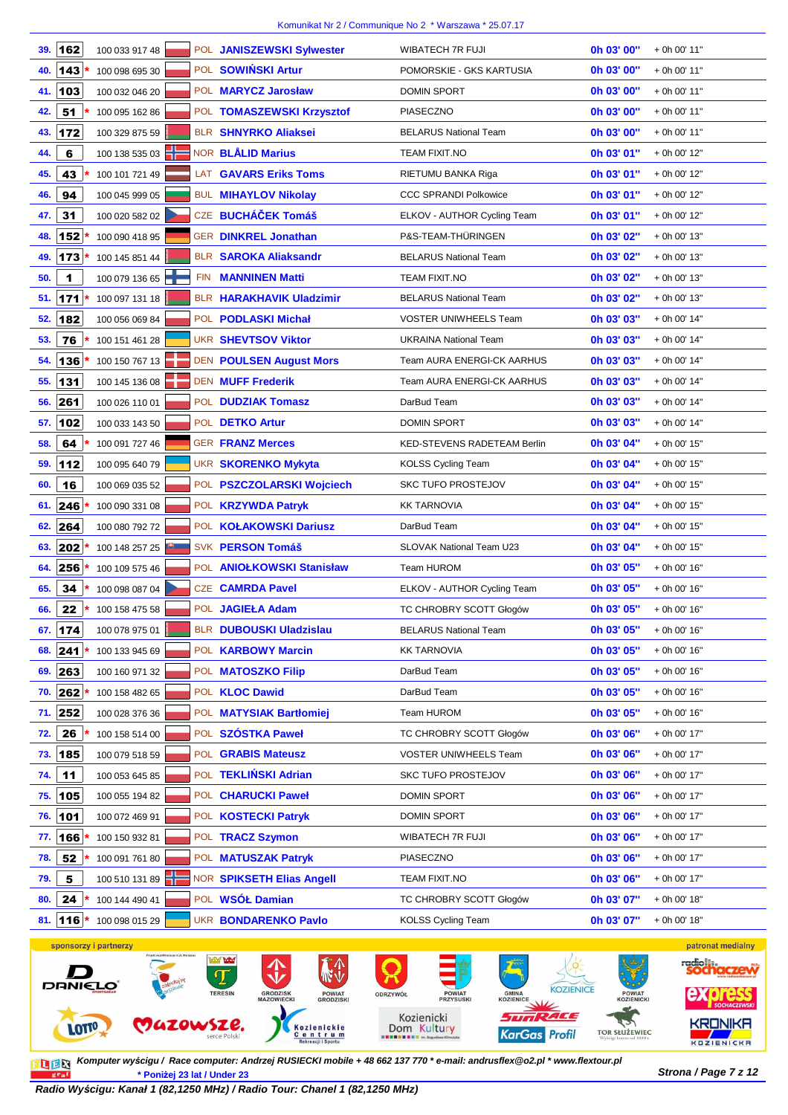| 162<br>39.     | 100 033 917 48        |            | POL JANISZEWSKI Sylwester                                              | WIBATECH 7R FUJI                                                                        | 0h 03' 00"                 | + 0h 00' 11"          |
|----------------|-----------------------|------------|------------------------------------------------------------------------|-----------------------------------------------------------------------------------------|----------------------------|-----------------------|
| 143<br>40.     | 100 098 695 30        |            | POL SOWIŃSKI Artur                                                     | POMORSKIE - GKS KARTUSIA                                                                | 0h 03' 00"                 | + 0h 00' 11"          |
| 103<br>41.     | 100 032 046 20        |            | POL MARYCZ Jarosław                                                    | <b>DOMIN SPORT</b>                                                                      | 0h 03' 00"                 | + 0h 00' 11"          |
| 51<br>42.      | 100 095 162 86        |            | POL TOMASZEWSKI Krzysztof                                              | PIASECZNO                                                                               | 0h 03' 00"                 | + 0h 00' 11"          |
| 172<br>43.     | 100 329 875 59        |            | <b>BLR SHNYRKO Aliaksei</b>                                            | <b>BELARUS National Team</b>                                                            | 0h 03' 00"                 | + 0h 00' 11"          |
| 6<br>44.       | 100 138 535 03        |            | NOR BLÅLID Marius                                                      | TEAM FIXIT.NO                                                                           | Oh 03' 01"                 | + 0h 00' 12"          |
| 45.<br>43      | 100 101 721 49        |            | LAT GAVARS Eriks Toms                                                  | RIETUMU BANKA Riga                                                                      | 0h 03' 01"                 | + 0h 00' 12"          |
| 94<br>46.      | 100 045 999 05        |            | <b>BUL MIHAYLOV Nikolay</b>                                            | <b>CCC SPRANDI Polkowice</b>                                                            | Oh 03' 01"                 | + 0h 00' 12"          |
| 31<br>47.      | 100 020 582 02        |            | CZE BUCHÁČEK Tomáš                                                     | ELKOV - AUTHOR Cycling Team                                                             | Oh 03' 01"                 | + 0h 00' 12"          |
| 152<br>48.     | 100 090 418 95        |            | GER DINKREL Jonathan                                                   | P&S-TEAM-THÜRINGEN                                                                      | 0h 03' 02"                 | + 0h 00' 13"          |
| 49.<br>173     | 100 145 851 44        |            | <b>BLR SAROKA Aliaksandr</b>                                           | <b>BELARUS National Team</b>                                                            | 0h 03' 02"                 | + 0h 00' 13"          |
| 1<br>50.       | 100 079 136 65        | <b>FIN</b> | <b>MANNINEN Matti</b>                                                  | <b>TEAM FIXIT.NO</b>                                                                    | 0h 03' 02"                 | + 0h 00' 13"          |
| 171<br>51.     | 100 097 131 18        |            | <b>BLR HARAKHAVIK Uladzimir</b>                                        | <b>BELARUS National Team</b>                                                            | 0h 03' 02"                 | + 0h 00' 13"          |
| 182<br>52.     | 100 056 069 84        |            | POL PODLASKI Michał                                                    | <b>VOSTER UNIWHEELS Team</b>                                                            | Oh 03' 03"                 | + 0h 00' 14"          |
| 76<br>53.      | 100 151 461 28        |            | <b>UKR SHEVTSOV Viktor</b>                                             | <b>UKRAINA National Team</b>                                                            | 0h 03' 03"                 | + 0h 00' 14"          |
| 136<br>54.     | 100 150 767 13        |            | <b>DEN POULSEN August Mors</b>                                         | Team AURA ENERGI-CK AARHUS                                                              | Oh 03' 03"                 | + 0h 00' 14"          |
| 131<br>55.     | 100 145 136 08        |            | DEN MUFF Frederik                                                      | Team AURA ENERGI-CK AARHUS                                                              | 0h 03' 03"                 | + 0h 00' 14"          |
| 261<br>56.     | 100 026 110 01        |            | POL <b>DUDZIAK Tomasz</b>                                              | DarBud Team                                                                             | 0h 03' 03"                 | + 0h 00' 14"          |
| 57.<br>102     | 100 033 143 50        |            | POL DETKO Artur                                                        | <b>DOMIN SPORT</b>                                                                      | Oh 03' 03"                 | + 0h 00' 14"          |
| 64<br>58.      | 100 091 727 46        |            | <b>GER FRANZ Merces</b>                                                | KED-STEVENS RADETEAM Berlin                                                             | 0h 03' 04"                 | + 0h 00' 15"          |
| 112<br>59.     | 100 095 640 79        |            | <b>UKR SKORENKO Mykyta</b>                                             | <b>KOLSS Cycling Team</b>                                                               | 0h 03' 04"                 | + 0h 00' 15"          |
| 16<br>60.      | 100 069 035 52        |            | POL PSZCZOLARSKI Wojciech                                              | <b>SKC TUFO PROSTEJOV</b>                                                               | 0h 03' 04"                 | + 0h 00' 15"          |
| 246<br>61.     | 100 090 331 08        |            | POL KRZYWDA Patryk                                                     | <b>KK TARNOVIA</b>                                                                      | 0h 03' 04"                 | + 0h 00' 15"          |
| 264<br>62.     | 100 080 792 72        |            | POL KOŁAKOWSKI Dariusz                                                 | DarBud Team                                                                             | 0h 03' 04"                 | + 0h 00' 15"          |
| 202<br>63.     | 100 148 257 25        |            | SVK PERSON Tomáš                                                       | SLOVAK National Team U23                                                                | 0h 03' 04"                 | + 0h 00' 15"          |
| 256<br>64.     | 100 109 575 46        |            | POL ANIOŁKOWSKI Stanisław                                              | Team HUROM                                                                              | 0h 03' 05"                 | + 0h 00' 16"          |
| 65.<br>34      | 100 098 087 04        |            | <b>CZE CAMRDA Pavel</b>                                                | ELKOV - AUTHOR Cycling Team                                                             | 0h 03' 05"                 | + 0h 00' 16"          |
| 22<br>66.      | 100 158 475 58        |            | POL JAGIEŁA Adam                                                       | TC CHROBRY SCOTT Głogów                                                                 | 0h 03' 05"                 | + 0h 00' 16"          |
| 67. 174        | 100 078 975 01        |            | BLR DUBOUSKI Uladzislau                                                | <b>BELARUS National Team</b>                                                            | 0h 03' 05"                 | + 0h 00' 16"          |
| 241<br>68.     | 100 133 945 69        |            | POL KARBOWY Marcin                                                     | <b>KK TARNOVIA</b>                                                                      | 0h 03' 05"                 | + 0h 00' 16"          |
| 263<br>69.     | 100 160 971 32        |            | POL MATOSZKO Filip                                                     | DarBud Team                                                                             | 0h 03' 05"                 | + 0h 00' 16"          |
| 262<br>70.     | 100 158 482 65        |            | POL <b>KLOC</b> Dawid                                                  | DarBud Team                                                                             | 0h 03' 05"                 | + 0h 00' 16"          |
| 71. 252        | 100 028 376 36        |            | POL MATYSIAK Bartłomiej                                                | Team HUROM                                                                              | 0h 03' 05"                 | + 0h 00' 16"          |
| 26<br>72.      | 100 158 514 00        |            | POL SZÓSTKA Paweł                                                      | TC CHROBRY SCOTT Głogów                                                                 | 0h 03' 06"                 | + 0h 00' 17"          |
| 185<br>73.     | 100 079 518 59        |            | POL GRABIS Mateusz                                                     | <b>VOSTER UNIWHEELS Team</b>                                                            | 0h 03' 06"                 | + 0h 00' 17"          |
| 11<br>74.      | 100 053 645 85        |            | POL TEKLIŃSKI Adrian                                                   | <b>SKC TUFO PROSTEJOV</b>                                                               | 0h 03' 06"                 | + 0h 00' 17"          |
| 105<br>75.     | 100 055 194 82        |            | POL CHARUCKI Paweł                                                     | <b>DOMIN SPORT</b>                                                                      | 0h 03' 06"                 | + 0h 00' 17"          |
| 101<br>76.     | 100 072 469 91        |            | POL KOSTECKI Patryk                                                    | <b>DOMIN SPORT</b>                                                                      | 0h 03' 06"                 | + 0h 00' 17"          |
| 166<br>77.     | 100 150 932 81        |            | POL TRACZ Szymon                                                       | WIBATECH 7R FUJI                                                                        | 0h 03' 06"                 | + 0h 00' 17"          |
| 52<br>78.      | 100 091 761 80        |            | POL MATUSZAK Patryk                                                    | PIASECZNO                                                                               | 0h 03' 06"                 | + 0h 00' 17"          |
| 5<br>79.       | 100 510 131 89        |            | NOR SPIKSETH Elias Angell                                              | TEAM FIXIT.NO                                                                           | 0h 03' 06"                 | + 0h 00' 17"          |
| 80.<br>24      | 100 144 490 41        |            | POL WSÓŁ Damian                                                        | TC CHROBRY SCOTT Głogów                                                                 | 0h 03' 07"                 | + 0h 00' 18"          |
| 116<br>81.     | 100 098 015 29        |            | <b>UKR BONDARENKO Pavlo</b>                                            | KOLSS Cycling Team                                                                      | 0h 03' 07"                 | + 0h 00' 18"          |
|                | sponsorzy i partnerzy |            |                                                                        |                                                                                         |                            | patronat medialny     |
|                |                       |            | A PORT                                                                 |                                                                                         |                            | radio <sub>ille</sub> |
| <b>DRNIELO</b> |                       |            | <b>TERESIN</b><br><b>GRODZISK</b><br>MAZOWIECKI<br>POWIAT<br>GRODZISKI | <b>KOZIENICE</b><br><b>POWIAT</b><br>PRZYSUSKI<br><b>GMINA</b><br>KOZIENICE<br>ODRZYWÓŁ | <b>POWIAT</b><br>KOZIENICK | <b>express</b>        |



**Strona / Page 7 z 12 \* Poniżej 23 lat / Under 23 Komputer wy***ś***cigu / Race computer: Andrzej RUSIECKI mobile + 48 662 137 770 \* e-mail: andrusflex@o2.pl \* www.flextour.pl**

**Radio Wy***ś***cigu: Kanał 1 (82,1250 MHz) / Radio Tour: Chanel 1 (82,1250 MHz)**

KarGas Profil

**TOR SŁUŻEWIEC** 

**KRONIKA** 

**KOZIENICKA**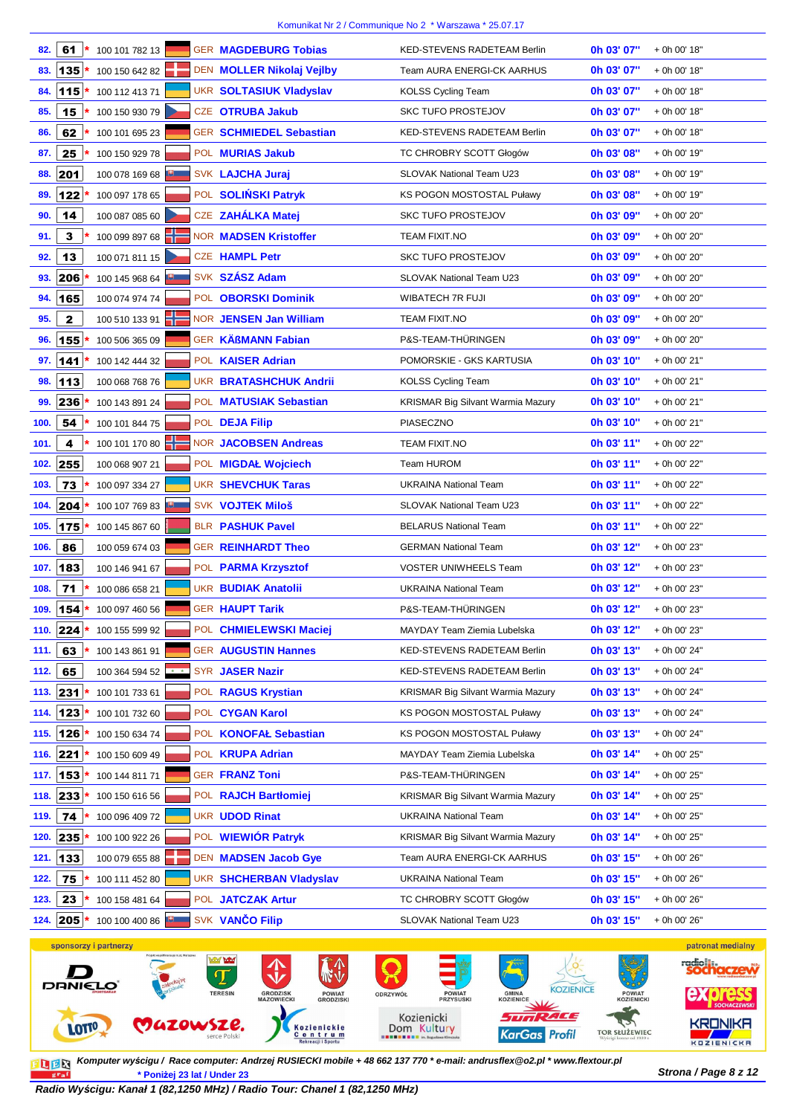| 82.  | 61            | 100 101 782 13        |                                       | <b>GER MAGDEBURG Tobias</b>                    | <b>KED-STEVENS RADETEAM Berlin</b>       | 0h 03' 07"   | + 0h 00' 18"      |
|------|---------------|-----------------------|---------------------------------------|------------------------------------------------|------------------------------------------|--------------|-------------------|
| 83.  | 135           | 100 150 642 82        |                                       | DEN MOLLER Nikolaj Vejlby                      | <b>Team AURA ENERGI-CK AARHUS</b>        | 0h 03' 07"   | + 0h 00' 18"      |
| 84.  | 115           | 100 112 413 71        |                                       | <b>UKR SOLTASIUK Vladyslav</b>                 | <b>KOLSS Cycling Team</b>                | 0h 03' 07"   | + 0h 00' 18"      |
| 85.  | 15            | 100 150 930 79        |                                       | CZE OTRUBA Jakub                               | <b>SKC TUFO PROSTEJOV</b>                | 0h 03' 07"   | + 0h 00' 18"      |
| 86.  | 62            | 100 101 695 23        |                                       | <b>GER SCHMIEDEL Sebastian</b>                 | <b>KED-STEVENS RADETEAM Berlin</b>       | 0h 03' 07"   | + 0h 00' 18"      |
| 87.  | 25            | 100 150 929 78        |                                       | POL MURIAS Jakub                               | TC CHROBRY SCOTT Głogów                  | 0h 03' 08"   | + 0h 00' 19"      |
| 88.  | 201           | 100 078 169 68        |                                       | SVK LAJCHA Juraj                               | SLOVAK National Team U23                 | 0h 03' 08"   | + 0h 00' 19"      |
| 89.  | 122           | 100 097 178 65        |                                       | POL SOLIŃSKI Patryk                            | KS POGON MOSTOSTAL Puławy                | 0h 03' 08"   | + 0h 00' 19"      |
| 90.  | 14            | 100 087 085 60        |                                       | CZE ZAHÁLKA Matej                              | <b>SKC TUFO PROSTEJOV</b>                | 0h 03' 09"   | + 0h 00' 20"      |
| 91.  | 3             | 100 099 897 68        |                                       | <b>NOR MADSEN Kristoffer</b>                   | TEAM FIXIT.NO                            | 0h 03' 09"   | + 0h 00' 20"      |
| 92.  | 13            | 100 071 811 15        |                                       | <b>CZE HAMPL Petr</b>                          | <b>SKC TUFO PROSTEJOV</b>                | 0h 03' 09"   | + 0h 00' 20"      |
| 93.  | 206           | 100 145 968 64        |                                       | SVK SZÁSZ Adam                                 | SLOVAK National Team U23                 | 0h 03' 09"   | + 0h 00' 20"      |
| 94.  | 165           | 100 074 974 74        |                                       | POL OBORSKI Dominik                            | WIBATECH 7R FUJI                         | 0h 03' 09"   | + 0h 00' 20"      |
| 95.  | $\mathbf 2$   | 100 510 133 91        |                                       | NOR JENSEN Jan William                         | TEAM FIXIT.NO                            | 0h 03' 09"   | + 0h 00' 20"      |
| 96.  | 155           | 100 506 365 09        |                                       | <b>GER KÄßMANN Fabian</b>                      | P&S-TEAM-THÜRINGEN                       | 0h 03' 09"   | + 0h 00' 20"      |
| 97.  | 141           | 100 142 444 32        |                                       | POL KAISER Adrian                              | POMORSKIE - GKS KARTUSIA                 | 0h 03' 10"   | + 0h 00' 21"      |
| 98.  | 113           | 100 068 768 76        |                                       | <b>UKR BRATASHCHUK Andrii</b>                  | <b>KOLSS Cycling Team</b>                | 0h 03' 10"   | + 0h 00' 21"      |
| 99.  | 236           | 100 143 891 24        |                                       | POL MATUSIAK Sebastian                         | <b>KRISMAR Big Silvant Warmia Mazury</b> | 0h 03' 10"   | + 0h 00' 21"      |
| 100. | 54            | 100 101 844 75        |                                       | POL DEJA Filip                                 | PIASECZNO                                | 0h 03' 10"   | + 0h 00' 21"      |
| 101. | 4             | 100 101 170 80        |                                       | <b>NOR JACOBSEN Andreas</b>                    | TEAM FIXIT.NO                            | 0h 03' 11"   | + 0h 00' 22"      |
| 102. | 255           | 100 068 907 21        |                                       | POL MIGDAŁ Wojciech                            | <b>Team HUROM</b>                        | 0h 03' 11"   | + 0h 00' 22"      |
| 103. | 73            | 100 097 334 27        |                                       | <b>UKR SHEVCHUK Taras</b>                      | <b>UKRAINA National Team</b>             | 0h 03' 11"   | + 0h 00' 22"      |
| 104. | 204           | 100 107 769 83        |                                       | SVK VOJTEK Miloš                               | SLOVAK National Team U23                 | 0h 03' 11"   | + 0h 00' 22"      |
| 105. | 175           | 100 145 867 60        |                                       | <b>BLR PASHUK Pavel</b>                        | <b>BELARUS National Team</b>             | 0h 03' 11"   | + 0h 00' 22"      |
| 106. | 86            | 100 059 674 03        |                                       | <b>GER REINHARDT Theo</b>                      | <b>GERMAN National Team</b>              | 0h 03' 12"   | + 0h 00' 23"      |
| 107. | 183           | 100 146 941 67        |                                       | POL PARMA Krzysztof                            | <b>VOSTER UNIWHEELS Team</b>             | 0h 03' 12"   | + 0h 00' 23"      |
| 108. | 71            | 100 086 658 21        |                                       | <b>UKR BUDIAK Anatolii</b>                     | <b>UKRAINA National Team</b>             | 0h 03' 12"   | + 0h 00' 23"      |
| 109. | 154           | 100 097 460 56        |                                       | <b>GER HAUPT Tarik</b>                         | P&S-TEAM-THÜRINGEN                       | 0h 03' 12"   | + 0h 00' 23"      |
| 110. | 224           | 100 155 599 92        |                                       | POL CHMIELEWSKI Maciej                         | MAYDAY Team Ziemia Lubelska              | 0h 03' 12"   | + 0h 00' 23"      |
| 111. | 63            | 100 143 861 91        |                                       | <b>GER AUGUSTIN Hannes</b>                     | KED-STEVENS RADETEAM Berlin              | 0h 03' 13"   | + 0h 00' 24"      |
| 112. | 65            | 100 364 594 52        |                                       | SYR JASER Nazir                                | KED-STEVENS RADETEAM Berlin              | 0h 03' 13"   | + 0h 00' 24"      |
| 113. | 231           | 100 101 733 61        |                                       | POL RAGUS Krystian                             | <b>KRISMAR Big Silvant Warmia Mazury</b> | 0h 03' 13"   | + 0h 00' 24"      |
| 114. | 123           | 100 101 732 60        |                                       | POL CYGAN Karol                                | <b>KS POGON MOSTOSTAL Puławy</b>         | 0h 03' 13"   | + 0h 00' 24"      |
| 115. | 126           | 100 150 634 74        |                                       | POL KONOFAŁ Sebastian                          | <b>KS POGON MOSTOSTAL Puławy</b>         | 0h 03' 13"   | + 0h 00' 24"      |
| 116. | 221           | 100 150 609 49        |                                       | POL <b>KRUPA Adrian</b>                        | MAYDAY Team Ziemia Lubelska              | 0h 03' 14"   | + 0h 00' 25"      |
| 117. | 153           | 100 144 811 71        |                                       | <b>GER FRANZ Toni</b>                          | P&S-TEAM-THÜRINGEN                       | 0h 03' 14"   | + 0h 00' 25"      |
| 118. | 233           | 100 150 616 56        |                                       | POL RAJCH Bartłomiej                           | <b>KRISMAR Big Silvant Warmia Mazury</b> | 0h 03' 14"   | + 0h 00' 25"      |
| 119. | 74            | 100 096 409 72        |                                       | <b>UKR UDOD Rinat</b>                          | <b>UKRAINA National Team</b>             | 0h 03' 14"   | + 0h 00' 25"      |
| 120. | 235           | 100 100 922 26        |                                       | POL WIEWIÓR Patryk                             | <b>KRISMAR Big Silvant Warmia Mazury</b> | 0h 03' 14"   | + 0h 00' 25"      |
| 121. | $\boxed{133}$ | 100 079 655 88        |                                       | DEN MADSEN Jacob Gye                           | Team AURA ENERGI-CK AARHUS               | 0h 03' 15"   | + 0h 00' 26"      |
| 122. | 75            | 100 111 452 80        |                                       | UKR SHCHERBAN Vladyslav                        | <b>UKRAINA National Team</b>             | 0h 03' 15"   | + 0h 00' 26"      |
| 123. | 23            | 100 158 481 64        |                                       | POL JATCZAK Artur                              | TC CHROBRY SCOTT Głogów                  | 0h 03' 15"   | + 0h 00' 26"      |
| 124. | 205           | 100 100 400 86        |                                       | SVK VANČO Filip                                | SLOVAK National Team U23                 | 0h 03' 15"   | + 0h 00' 26"      |
|      |               | sponsorzy i partnerzy |                                       |                                                |                                          |              | patronat medialny |
|      |               |                       | Projekt współfinansuje m.st, Warszawa | <b><i><u>Model</u></i></b> <i><b>habel</b></i> | A CALIFORNIA                             | $1/\sqrt{1}$ |                   |



**Strona / Page 8 z 12 \* Poniżej 23 lat / Under 23 Komputer wy***ś***cigu / Race computer: Andrzej RUSIECKI mobile + 48 662 137 770 \* e-mail: andrusflex@o2.pl \* www.flextour.pl**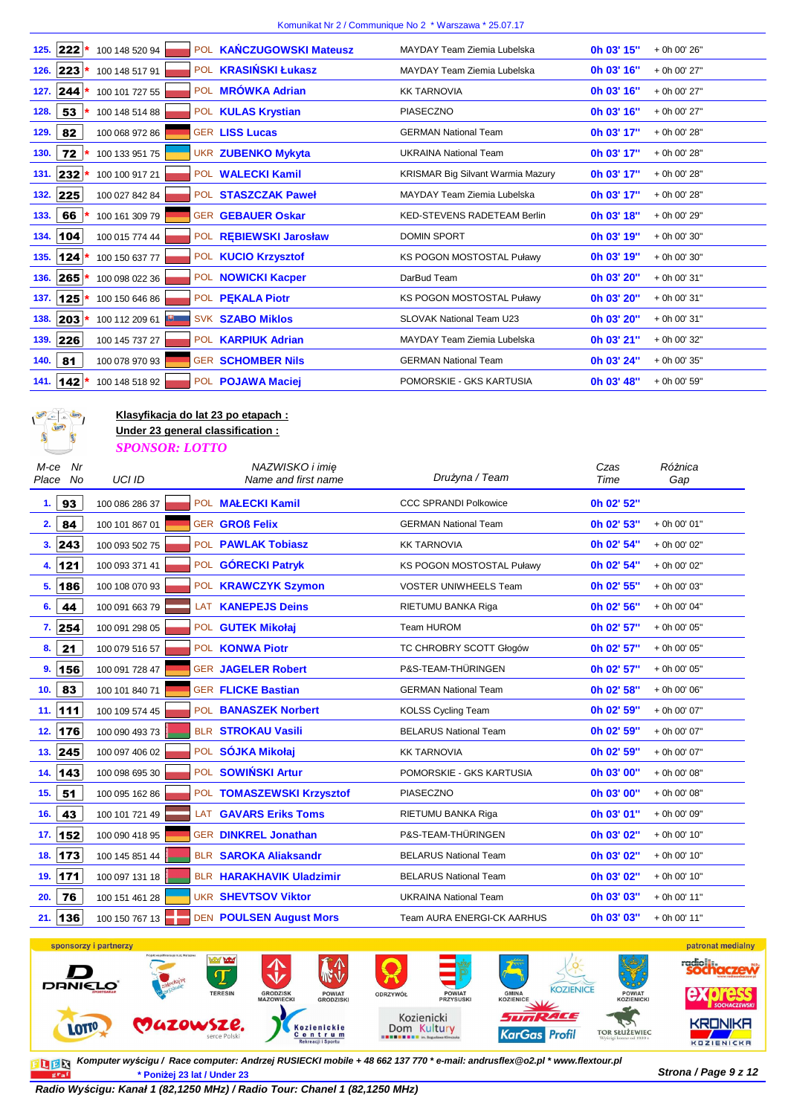| 222<br>100 148 520 94<br><b>POL</b><br>125. | <b>KAŃCZUGOWSKI Mateusz</b> | MAYDAY Team Ziemia Lubelska              | 0h 03' 15" | + 0h 00' 26" |
|---------------------------------------------|-----------------------------|------------------------------------------|------------|--------------|
| $ 223 $ *<br>100 148 517 91<br>126.         | POL <b>KRASIŃSKI Łukasz</b> | MAYDAY Team Ziemia Lubelska              | 0h 03' 16" | + 0h 00' 27" |
| 127. 244 $*$<br>100 101 727 55              | POL <b>MRÓWKA Adrian</b>    | <b>KK TARNOVIA</b>                       | 0h 03' 16" | + 0h 00' 27" |
| 53<br>128.<br>100 148 514 88                | POL KULAS Krystian          | <b>PIASECZNO</b>                         | 0h 03' 16" | + 0h 00' 27" |
| 82<br>100 068 972 86<br>129.                | <b>GER LISS Lucas</b>       | <b>GERMAN National Team</b>              | 0h 03' 17" | + 0h 00' 28" |
| 72<br>100 133 951 75<br>130.                | <b>UKR ZUBENKO Mykyta</b>   | <b>UKRAINA National Team</b>             | 0h 03' 17" | + 0h 00' 28" |
| 131. 232 *<br>100 100 917 21                | POL WALECKI Kamil           | <b>KRISMAR Big Silvant Warmia Mazury</b> | 0h 03' 17" | + 0h 00' 28" |
| 225<br>100 027 842 84<br>132.               | POL STASZCZAK Paweł         | MAYDAY Team Ziemia Lubelska              | 0h 03' 17" | + 0h 00' 28" |
| 66<br>100 161 309 79<br>133.                | <b>GER GEBAUER Oskar</b>    | <b>KED-STEVENS RADETEAM Berlin</b>       | 0h 03' 18" | + 0h 00' 29" |
| 104<br>100 015 774 44<br>134.               | POL REBIEWSKI Jarosław      | <b>DOMIN SPORT</b>                       | 0h 03' 19" | + 0h 00' 30" |
| 100 150 637 77<br>135.<br>$124*$            | POL KUCIO Krzysztof         | <b>KS POGON MOSTOSTAL Puławy</b>         | 0h 03' 19" | + 0h 00' 30" |
| $265*$<br>136.<br>100 098 022 36            | POL NOWICKI Kacper          | DarBud Team                              | 0h 03' 20" | + 0h 00' 31" |
| 125<br>100 150 646 86<br>137.               | POL PEKALA Piotr            | <b>KS POGON MOSTOSTAL Puławy</b>         | 0h 03' 20" | + 0h 00' 31" |
| 138. 203 *<br>100 112 209 61                | <b>SVK SZABO Miklos</b>     | <b>SLOVAK National Team U23</b>          | 0h 03' 20" | + 0h 00' 31" |
| 226<br>139.<br>100 145 737 27               | POL <b>KARPIUK Adrian</b>   | MAYDAY Team Ziemia Lubelska              | 0h 03' 21" | + 0h 00' 32" |
| 81<br>100 078 970 93<br>140.                | <b>GER SCHOMBER Nils</b>    | <b>GERMAN National Team</b>              | 0h 03' 24" | + 0h 00' 35" |
| 141. 142 *<br>100 148 518 92                | POL POJAWA Maciej           | POMORSKIE - GKS KARTUSIA                 | 0h 03' 48" | + 0h 00' 59" |



**Klasyfikacja do lat 23 po etapach : Under 23 general classification :**

*SPONSOR: LOTTO*

| Nr<br>M-ce<br>Place No | <b>UCI ID</b>  | NAZWISKO i imie<br>Name and first name | Drużyna / Team               | Czas<br>Time | Różnica<br>Gap |
|------------------------|----------------|----------------------------------------|------------------------------|--------------|----------------|
| 93<br>1.               | 100 086 286 37 | POL MALECKI Kamil                      | <b>CCC SPRANDI Polkowice</b> | 0h 02' 52"   |                |
| 2.<br>84               | 100 101 867 01 | <b>GER GROß Felix</b>                  | <b>GERMAN National Team</b>  | 0h 02' 53"   | + 0h 00' 01"   |
| 3.  243                | 100 093 502 75 | POL PAWLAK Tobiasz                     | <b>KK TARNOVIA</b>           | 0h 02' 54"   | + 0h 00' 02"   |
| 4. 121                 | 100 093 371 41 | POL GÓRECKI Patryk                     | KS POGON MOSTOSTAL Puławy    | 0h 02' 54"   | + 0h 00' 02"   |
| 186<br>5.              | 100 108 070 93 | POL KRAWCZYK Szymon                    | <b>VOSTER UNIWHEELS Team</b> | 0h 02' 55"   | + 0h 00' 03"   |
| 44<br>6.               | 100 091 663 79 | <b>KANEPEJS Deins</b><br>LAT           | RIETUMU BANKA Riga           | 0h 02' 56"   | + 0h 00' 04"   |
| 7. 254                 | 100 091 298 05 | POL GUTEK Mikołaj                      | Team HUROM                   | 0h 02' 57"   | + 0h 00' 05"   |
| 21<br>8.               | 100 079 516 57 | POL KONWA Piotr                        | TC CHROBRY SCOTT Głogów      | 0h 02' 57"   | + 0h 00' 05"   |
| 156<br>9.              | 100 091 728 47 | <b>GER JAGELER Robert</b>              | P&S-TEAM-THÜRINGEN           | 0h 02' 57"   | + 0h 00' 05"   |
| 83<br>10.              | 100 101 840 71 | <b>GER FLICKE Bastian</b>              | <b>GERMAN National Team</b>  | 0h 02' 58"   | + 0h 00' 06"   |
| 111<br>11.             | 100 109 574 45 | POL BANASZEK Norbert                   | <b>KOLSS Cycling Team</b>    | 0h 02' 59"   | + 0h 00' 07"   |
| 176<br>12.             | 100 090 493 73 | <b>BLR STROKAU Vasili</b>              | <b>BELARUS National Team</b> | 0h 02' 59"   | + 0h 00' 07"   |
| 245<br>13.             | 100 097 406 02 | POL SÓJKA Mikołaj                      | <b>KK TARNOVIA</b>           | 0h 02' 59"   | + 0h 00' 07"   |
| 14.<br>143             | 100 098 695 30 | POL SOWIŃSKI Artur                     | POMORSKIE - GKS KARTUSIA     | 0h 03' 00"   | + 0h 00' 08"   |
| 51<br>15.              | 100 095 162 86 | POL TOMASZEWSKI Krzysztof              | PIASECZNO                    | 0h 03' 00"   | + 0h 00' 08"   |
| 43<br>16.              | 100 101 721 49 | <b>GAVARS Eriks Toms</b><br><b>LAT</b> | RIETUMU BANKA Riga           | 0h 03' 01"   | + 0h 00' 09"   |
| 152<br>17.             | 100 090 418 95 | <b>GER DINKREL Jonathan</b>            | P&S-TEAM-THÜRINGEN           | 0h 03' 02"   | + 0h 00' 10"   |
| 173<br>18.             | 100 145 851 44 | <b>BLR SAROKA Aliaksandr</b>           | <b>BELARUS National Team</b> | 0h 03' 02"   | + 0h 00' 10"   |
| 171<br>19.             | 100 097 131 18 | BLR HARAKHAVIK Uladzimir               | <b>BELARUS National Team</b> | 0h 03' 02"   | + 0h 00' 10"   |
| 76<br>20.              | 100 151 461 28 | <b>UKR SHEVTSOV Viktor</b>             | <b>UKRAINA National Team</b> | Oh 03' 03"   | + 0h 00' 11"   |
| 136<br>21.             | 100 150 767 13 | <b>DEN POULSEN August Mors</b>         | Team AURA ENERGI-CK AARHUS   | 0h 03' 03"   | + 0h 00' 11"   |



**Strona / Page 9 z 12 \* Poniżej 23 lat / Under 23 Komputer wy***ś***cigu / Race computer: Andrzej RUSIECKI mobile + 48 662 137 770 \* e-mail: andrusflex@o2.pl \* www.flextour.pl**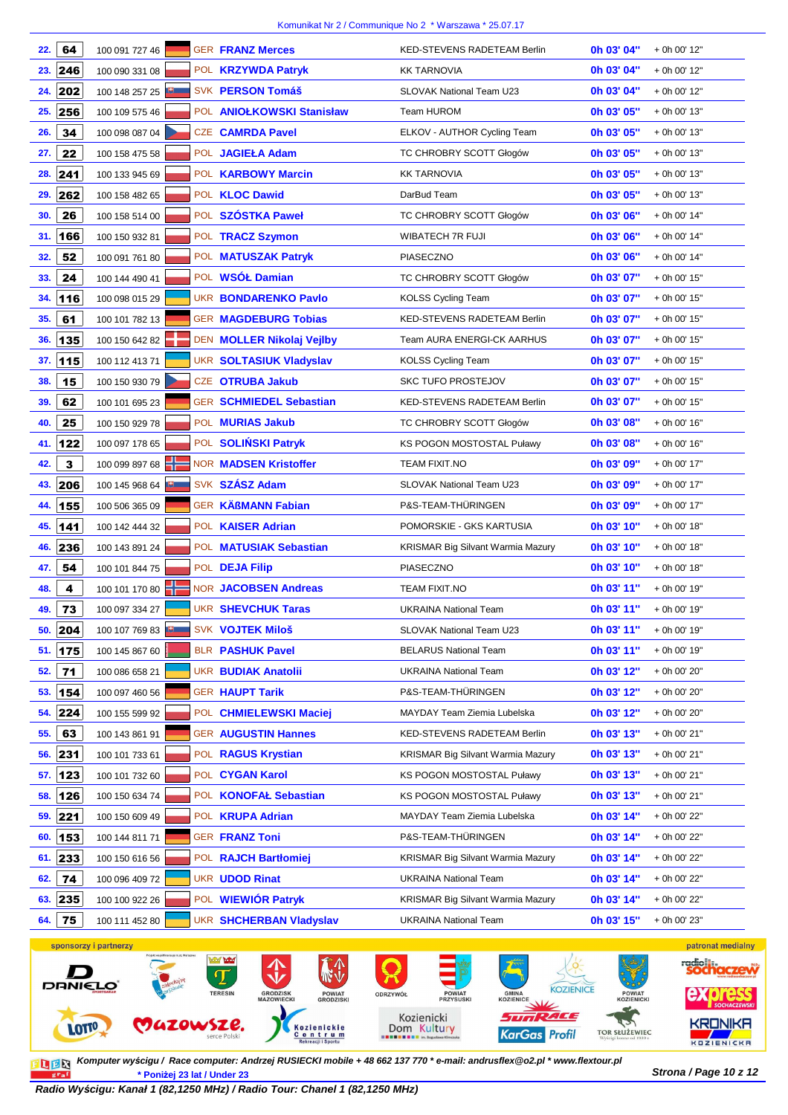| 22. | 64           | 100 091 727 46        | <b>GER FRANZ Merces</b>          | <b>KED-STEVENS RADETEAM Berlin</b>       | 0h 03' 04" | + 0h 00' 12"     |
|-----|--------------|-----------------------|----------------------------------|------------------------------------------|------------|------------------|
| 23. | 246          | 100 090 331 08        | POL <b>KRZYWDA Patryk</b>        | <b>KK TARNOVIA</b>                       | 0h 03' 04" | $+$ 0h 00' 12"   |
| 24. | 202          | 100 148 257 25        | SVK PERSON Tomáš                 | SLOVAK National Team U23                 | 0h 03' 04" | + 0h 00' 12"     |
| 25. | 256          | 100 109 575 46        | POL ANIOŁKOWSKI Stanisław        | Team HUROM                               | 0h 03' 05" | + 0h 00' 13"     |
| 26. | 34           | 100 098 087 04        | <b>CZE CAMRDA Pavel</b>          | ELKOV - AUTHOR Cycling Team              | 0h 03' 05" | + 0h 00' 13"     |
| 27. | 22           | 100 158 475 58        | POL JAGIEŁA Adam                 | TC CHROBRY SCOTT Głogów                  | 0h 03' 05" | + 0h 00' 13"     |
|     |              |                       |                                  |                                          | 0h 03' 05" |                  |
| 28. | 241          | 100 133 945 69        | POL KARBOWY Marcin               | <b>KK TARNOVIA</b><br>DarBud Team        |            | + 0h 00' 13"     |
| 29. | 262          | 100 158 482 65        | POL KLOC Dawid                   |                                          | 0h 03' 05" | + 0h 00' 13"     |
| 30. | 26           | 100 158 514 00        | POL SZÓSTKA Paweł                | TC CHROBRY SCOTT Głogów                  | 0h 03' 06" | + 0h 00' 14"     |
| 31. | 166          | 100 150 932 81        | POL TRACZ Szymon                 | WIBATECH 7R FUJI                         | 0h 03' 06" | + 0h 00' 14"     |
| 32. | 52           | 100 091 761 80        | POL MATUSZAK Patryk              | <b>PIASECZNO</b>                         | 0h 03' 06" | + 0h 00' 14"     |
| 33. | 24           | 100 144 490 41        | POL WSÓŁ Damian                  | TC CHROBRY SCOTT Głogów                  | 0h 03' 07" | + 0h 00' 15"     |
| 34. | 116          | 100 098 015 29        | <b>UKR BONDARENKO Pavlo</b>      | <b>KOLSS Cycling Team</b>                | 0h 03' 07" | + 0h 00' 15"     |
| 35. | 61           | 100 101 782 13        | <b>GER MAGDEBURG Tobias</b>      | KED-STEVENS RADETEAM Berlin              | 0h 03' 07" | + 0h 00' 15"     |
| 36. | 135          | 100 150 642 82        | DEN <b>MOLLER Nikolaj Vejlby</b> | <b>Team AURA ENERGI-CK AARHUS</b>        | 0h 03' 07" | + 0h 00' 15"     |
| 37. | 115          | 100 112 413 71        | <b>UKR SOLTASIUK Vladyslav</b>   | <b>KOLSS Cycling Team</b>                | 0h 03' 07" | + 0h 00' 15"     |
| 38. | 15           | 100 150 930 79        | CZE OTRUBA Jakub                 | <b>SKC TUFO PROSTEJOV</b>                | 0h 03' 07" | + 0h 00' 15"     |
| 39. | 62           | 100 101 695 23        | <b>GER SCHMIEDEL Sebastian</b>   | KED-STEVENS RADETEAM Berlin              | 0h 03' 07" | + 0h 00' 15"     |
| 40. | 25           | 100 150 929 78        | POL MURIAS Jakub                 | TC CHROBRY SCOTT Głogów                  | 0h 03' 08" | + 0h 00' 16"     |
| 41. | 122          | 100 097 178 65        | POL SOLIŃSKI Patryk              | KS POGON MOSTOSTAL Puławy                | 0h 03' 08" | + 0h 00' 16"     |
| 42. | $\mathbf{3}$ | 100 099 897 68        | <b>NOR MADSEN Kristoffer</b>     | <b>TEAM FIXIT.NO</b>                     | 0h 03' 09" | + 0h 00' 17"     |
| 43. | 206          | 100 145 968 64        | SVK SZÁSZ Adam                   | SLOVAK National Team U23                 | 0h 03' 09" | + 0h 00' 17"     |
| 44. | 155          | 100 506 365 09        | <b>GER KÄßMANN Fabian</b>        | P&S-TEAM-THÜRINGEN                       | 0h 03' 09" | + 0h 00' 17"     |
| 45. | 141          | 100 142 444 32        | POL KAISER Adrian                | POMORSKIE - GKS KARTUSIA                 | 0h 03' 10" | + 0h 00' 18"     |
| 46. | 236          | 100 143 891 24        | POL MATUSIAK Sebastian           | <b>KRISMAR Big Silvant Warmia Mazury</b> | 0h 03' 10" | + 0h 00' 18"     |
| 47. | 54           | 100 101 844 75        | POL DEJA Filip                   | PIASECZNO                                | 0h 03' 10" | + 0h 00' 18"     |
| 48. | 4            | 100 101 170 80        | <b>NOR JACOBSEN Andreas</b>      | <b>TEAM FIXIT.NO</b>                     | 0h 03' 11" | + 0h 00' 19"     |
| 49. | 73           | 100 097 334 27        | <b>UKR SHEVCHUK Taras</b>        | <b>UKRAINA National Team</b>             | 0h 03' 11" | + 0h 00' 19"     |
| 50. | 204          | 100 107 769 83        | SVK VOJTEK Miloš                 | SLOVAK National Team U23                 | Oh 03' 11" | + 0h 00' 19"     |
|     | 51.   175    | 100 145 867 60        | <b>BLR PASHUK Pavel</b>          | <b>BELARUS National Team</b>             | Oh 03' 11" | + 0h 00' 19"     |
| 52. | 71           | 100 086 658 21        | <b>UKR BUDIAK Anatolii</b>       | <b>UKRAINA National Team</b>             | 0h 03' 12" | + 0h 00' 20"     |
| 53. | 154          | 100 097 460 56        | <b>GER HAUPT Tarik</b>           | P&S-TEAM-THÜRINGEN                       | 0h 03' 12" | + 0h 00' 20"     |
| 54. | 224          | 100 155 599 92        | POL CHMIELEWSKI Maciej           | MAYDAY Team Ziemia Lubelska              | 0h 03' 12" | + 0h 00' 20"     |
| 55. | 63           | 100 143 861 91        | <b>GER AUGUSTIN Hannes</b>       | KED-STEVENS RADETEAM Berlin              | 0h 03' 13" | + 0h 00' 21"     |
| 56. | 231          | 100 101 733 61        | POL RAGUS Krystian               | <b>KRISMAR Big Silvant Warmia Mazury</b> | 0h 03' 13" | + 0h 00' 21"     |
|     | 57. 123      | 100 101 732 60        | POL CYGAN Karol                  | <b>KS POGON MOSTOSTAL Puławy</b>         | 0h 03' 13" | + 0h 00' 21"     |
| 58. | 126          | 100 150 634 74        | POL KONOFAŁ Sebastian            | <b>KS POGON MOSTOSTAL Puławy</b>         | 0h 03' 13" | + 0h 00' 21"     |
| 59. | 221          | 100 150 609 49        | POL <b>KRUPA Adrian</b>          | MAYDAY Team Ziemia Lubelska              | 0h 03' 14" | + 0h 00' 22"     |
| 60. | 153          | 100 144 811 71        | <b>GER FRANZ Toni</b>            | P&S-TEAM-THÜRINGEN                       | 0h 03' 14" | + 0h 00' 22"     |
|     | 61.  233     | 100 150 616 56        | POL RAJCH Bartłomiej             | <b>KRISMAR Big Silvant Warmia Mazury</b> | 0h 03' 14" | + 0h 00' 22"     |
| 62. | 74           | 100 096 409 72        | <b>UKR UDOD Rinat</b>            | <b>UKRAINA National Team</b>             | 0h 03' 14" | + 0h 00' 22"     |
| 63. | 235          | 100 100 922 26        | POL WIEWIÓR Patryk               | <b>KRISMAR Big Silvant Warmia Mazury</b> | 0h 03' 14" | + 0h 00' 22"     |
| 64. | 75           | 100 111 452 80        | <b>UKR SHCHERBAN Vladyslav</b>   | <b>UKRAINA National Team</b>             | 0h 03' 15" | + 0h 00' 23"     |
|     |              | sponsorzy i partnerzy |                                  |                                          |            | patronat medialn |



**Strona / Page 10 z 12 \* Poniżej 23 lat / Under 23 Komputer wy***ś***cigu / Race computer: Andrzej RUSIECKI mobile + 48 662 137 770 \* e-mail: andrusflex@o2.pl \* www.flextour.pl**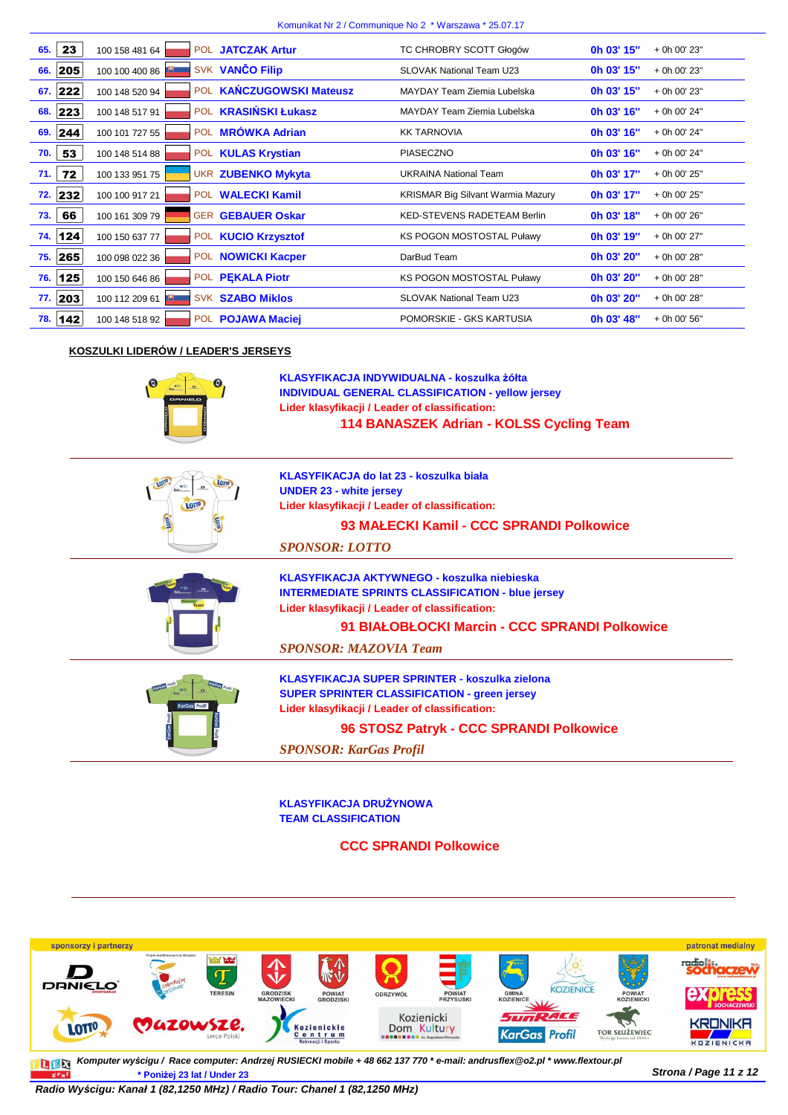| 23<br>65.  | POL JATCZAK Artur<br>100 158 481 64           | TC CHROBRY SCOTT Głogów                  | 0h 03' 15"<br>+ 0h 00' 23" |
|------------|-----------------------------------------------|------------------------------------------|----------------------------|
| 205<br>66. | SVK VANČO Filip<br>100 100 400 86             | <b>SLOVAK National Team U23</b>          | 0h 03' 15"<br>+ 0h 00' 23" |
| 67.  222   | POL KAŃCZUGOWSKI Mateusz<br>100 148 520 94    | MAYDAY Team Ziemia Lubelska              | 0h 03' 15"<br>+ 0h 00' 23" |
| 68. 223    | POL <b>KRASIŃSKI Łukasz</b><br>100 148 517 91 | MAYDAY Team Ziemia Lubelska              | 0h 03' 16"<br>+ 0h 00' 24" |
| 69.  244   | POL MRÓWKA Adrian<br>100 101 727 55           | <b>KK TARNOVIA</b>                       | 0h 03' 16"<br>+ 0h 00' 24" |
| 53<br>70.  | POL KULAS Krystian<br>100 148 514 88          | <b>PIASECZNO</b>                         | 0h 03' 16"<br>+ 0h 00' 24" |
| 72<br>71.  | <b>UKR ZUBENKO Mykyta</b><br>100 133 951 75   | <b>UKRAINA National Team</b>             | 0h 03' 17"<br>+ 0h 00' 25" |
| 72. 232    | POL WALECKI Kamil<br>100 100 917 21           | <b>KRISMAR Big Silvant Warmia Mazury</b> | 0h 03' 17"<br>+ 0h 00' 25" |
| 66<br>73.  | <b>GER GEBAUER Oskar</b><br>100 161 309 79    | <b>KED-STEVENS RADETEAM Berlin</b>       | 0h 03' 18"<br>+ 0h 00' 26" |
| 74. 124    | POL KUCIO Krzysztof<br>100 150 637 77         | <b>KS POGON MOSTOSTAL Puławy</b>         | 0h 03' 19"<br>+ 0h 00' 27" |
| 75.   265  | POL NOWICKI Kacper<br>100 098 022 36          | DarBud Team                              | 0h 03' 20"<br>+ 0h 00' 28" |
| 125<br>76. | POL PEKALA Piotr<br>100 150 646 86            | KS POGON MOSTOSTAL Puławy                | 0h 03' 20"<br>+ 0h 00' 28" |
| 77. 203    | <b>SVK SZABO Miklos</b><br>100 112 209 61     | <b>SLOVAK National Team U23</b>          | 0h 03' 20"<br>+ 0h 00' 28" |
| 78. 142    | POL POJAWA Maciej<br>100 148 518 92           | POMORSKIE - GKS KARTUSIA                 | 0h 03' 48"<br>+ 0h 00' 56" |

### **KOSZULKI LIDERÓW / LEADER'S JERSEYS**



**KLASYFIKACJA INDYWIDUALNA - koszulka żółta 114 BANASZEK Adrian - KOLSS Cycling Team Lider klasyfikacji / Leader of classification: INDIVIDUAL GENERAL CLASSIFICATION - yellow jersey**

| LOTTO                | KLASYFIKACJA do lat 23 - koszulka biała<br><b>UNDER 23 - white jersey</b><br>Lider klasyfikacji / Leader of classification: |
|----------------------|-----------------------------------------------------------------------------------------------------------------------------|
|                      | 93 MAŁECKI Kamil - CCC SPRANDI Polkowice                                                                                    |
|                      | <b>SPONSOR: LOTTO</b>                                                                                                       |
|                      | KLASYFIKACJA AKTYWNEGO - koszulka niebieska                                                                                 |
|                      | <b>INTERMEDIATE SPRINTS CLASSIFICATION - blue jersey</b>                                                                    |
|                      | Lider klasyfikacji / Leader of classification:                                                                              |
|                      | 91 BIAŁOBŁOCKI Marcin - CCC SPRANDI Polkowice                                                                               |
|                      | <b>SPONSOR: MAZOVIA Team</b>                                                                                                |
|                      | KLASYFIKACJA SUPER SPRINTER - koszulka zielona                                                                              |
|                      | <b>SUPER SPRINTER CLASSIFICATION - green jersey</b>                                                                         |
| <b>KarGas</b> Profil | Lider klasyfikacji / Leader of classification:                                                                              |
|                      | 96 STOSZ Patryk - CCC SPRANDI Polkowice                                                                                     |
|                      | <b>SPONSOR: KarGas Profil</b>                                                                                               |

**KLASYFIKACJA DRUŻYNOWA TEAM CLASSIFICATION**

**CCC SPRANDI Polkowice**



**Komputer wy***ś***cigu / Race computer: Andrzej RUSIECKI mobile + 48 662 137 770 \* e-mail: andrusflex@o2.pl \* www.flextour.plStrona / Page 11 z 12 \* Poniżej 23 lat / Under 23** graf